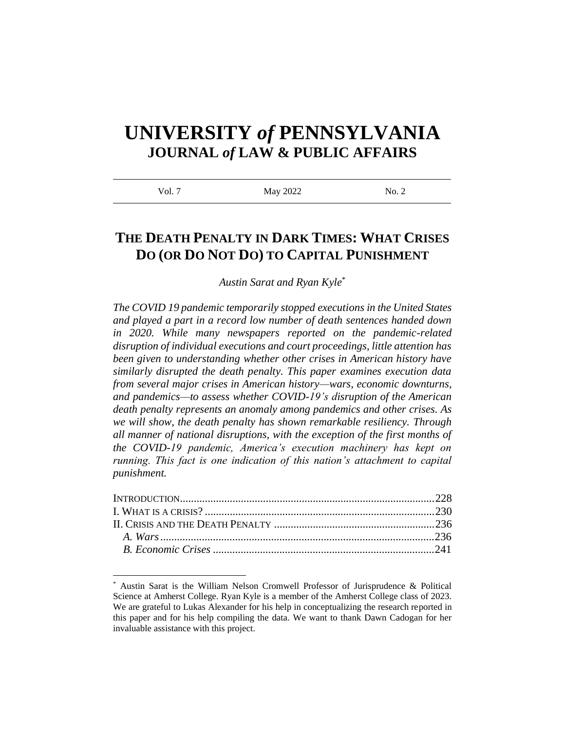# **UNIVERSITY** *of* **PENNSYLVANIA JOURNAL** *of* **LAW & PUBLIC AFFAIRS**

| Vol. 7<br>May 2022<br>No. 2 |  |
|-----------------------------|--|
|-----------------------------|--|

# **THE DEATH PENALTY IN DARK TIMES: WHAT CRISES DO (OR DO NOT DO) TO CAPITAL PUNISHMENT**

*Austin Sarat and Ryan Kyle* \*

*The COVID 19 pandemic temporarily stopped executions in the United States and played a part in a record low number of death sentences handed down in 2020. While many newspapers reported on the pandemic-related disruption of individual executions and court proceedings, little attention has been given to understanding whether other crises in American history have similarly disrupted the death penalty. This paper examines execution data from several major crises in American history—wars, economic downturns, and pandemics—to assess whether COVID-19's disruption of the American death penalty represents an anomaly among pandemics and other crises. As we will show, the death penalty has shown remarkable resiliency. Through all manner of national disruptions, with the exception of the first months of the COVID-19 pandemic, America's execution machinery has kept on running. This fact is one indication of this nation's attachment to capital punishment.*

Austin Sarat is the William Nelson Cromwell Professor of Jurisprudence & Political Science at Amherst College. Ryan Kyle is a member of the Amherst College class of 2023. We are grateful to Lukas Alexander for his help in conceptualizing the research reported in this paper and for his help compiling the data. We want to thank Dawn Cadogan for her invaluable assistance with this project.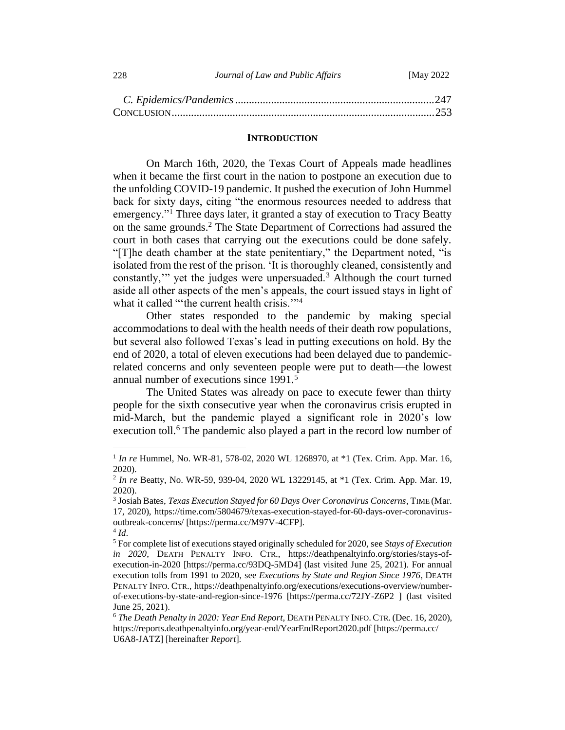| 228 | Journal of Law and Public Affairs | [May 2022] |
|-----|-----------------------------------|------------|
|     |                                   |            |

#### **INTRODUCTION**

<span id="page-1-0"></span>On March 16th, 2020, the Texas Court of Appeals made headlines when it became the first court in the nation to postpone an execution due to the unfolding COVID-19 pandemic. It pushed the execution of John Hummel back for sixty days, citing "the enormous resources needed to address that emergency."<sup>1</sup> Three days later, it granted a stay of execution to Tracy Beatty on the same grounds.<sup>2</sup> The State Department of Corrections had assured the court in both cases that carrying out the executions could be done safely. "[T]he death chamber at the state penitentiary," the Department noted, "is isolated from the rest of the prison. 'It is thoroughly cleaned, consistently and constantly,'" yet the judges were unpersuaded.<sup>3</sup> Although the court turned aside all other aspects of the men's appeals, the court issued stays in light of what it called "'the current health crisis."<sup>4</sup>

Other states responded to the pandemic by making special accommodations to deal with the health needs of their death row populations, but several also followed Texas's lead in putting executions on hold. By the end of 2020, a total of eleven executions had been delayed due to pandemicrelated concerns and only seventeen people were put to death—the lowest annual number of executions since 1991.<sup>5</sup>

The United States was already on pace to execute fewer than thirty people for the sixth consecutive year when the coronavirus crisis erupted in mid-March, but the pandemic played a significant role in 2020's low execution toll.<sup>6</sup> The pandemic also played a part in the record low number of

<sup>&</sup>lt;sup>1</sup> In re Hummel, No. WR-81, 578-02, 2020 WL 1268970, at \*1 (Tex. Crim. App. Mar. 16, 2020).

<sup>2</sup> *In re* Beatty, No. WR-59, 939-04, 2020 WL 13229145, at \*1 (Tex. Crim. App. Mar. 19, 2020).

<sup>3</sup> Josiah Bates, *Texas Execution Stayed for 60 Days Over Coronavirus Concerns*, TIME (Mar. 17, 2020), https://time.com/5804679/texas-execution-stayed-for-60-days-over-coronavirusoutbreak-concerns/ [https://perma.cc/M97V-4CFP].

<sup>4</sup> *Id*.

<sup>5</sup> For complete list of executions stayed originally scheduled for 2020, see *Stays of Execution in 2020*, DEATH PENALTY INFO. CTR., https://deathpenaltyinfo.org/stories/stays-ofexecution-in-2020 [https://perma.cc/93DQ-5MD4] (last visited June 25, 2021). For annual execution tolls from 1991 to 2020, see *Executions by State and Region Since 1976*, DEATH PENALTY INFO. CTR., https://deathpenaltyinfo.org/executions/executions-overview/numberof-executions-by-state-and-region-since-1976 [https://perma.cc/72JY-Z6P2 ] (last visited June 25, 2021).

<sup>6</sup> *The Death Penalty in 2020: Year End Report*, DEATH PENALTY INFO. CTR. (Dec. 16, 2020), https://reports.deathpenaltyinfo.org/year-end/YearEndReport2020.pdf [https://perma.cc/ U6A8-JATZ] [hereinafter *Report*].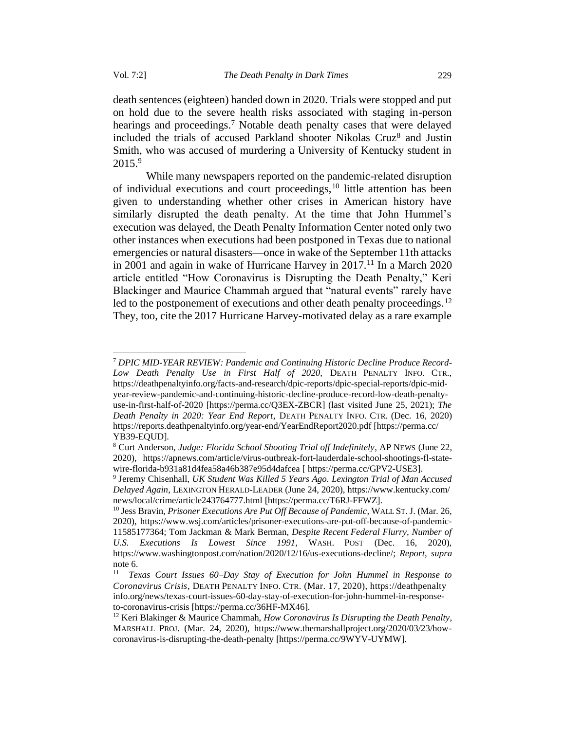death sentences (eighteen) handed down in 2020. Trials were stopped and put on hold due to the severe health risks associated with staging in-person hearings and proceedings.<sup>7</sup> Notable death penalty cases that were delayed included the trials of accused Parkland shooter Nikolas Cruz<sup>8</sup> and Justin Smith, who was accused of murdering a University of Kentucky student in 2015.<sup>9</sup>

While many newspapers reported on the pandemic-related disruption of individual executions and court proceedings,  $10$  little attention has been given to understanding whether other crises in American history have similarly disrupted the death penalty. At the time that John Hummel's execution was delayed, the Death Penalty Information Center noted only two other instances when executions had been postponed in Texas due to national emergencies or natural disasters—once in wake of the September 11th attacks in 2001 and again in wake of Hurricane Harvey in  $2017$ .<sup>11</sup> In a March 2020 article entitled "How Coronavirus is Disrupting the Death Penalty," Keri Blackinger and Maurice Chammah argued that "natural events" rarely have led to the postponement of executions and other death penalty proceedings.<sup>12</sup> They, too, cite the 2017 Hurricane Harvey-motivated delay as a rare example

<sup>7</sup> *DPIC MID-YEAR REVIEW: Pandemic and Continuing Historic Decline Produce Record-Low Death Penalty Use in First Half of 2020,* DEATH PENALTY INFO. CTR., https://deathpenaltyinfo.org/facts-and-research/dpic-reports/dpic-special-reports/dpic-midyear-review-pandemic-and-continuing-historic-decline-produce-record-low-death-penaltyuse-in-first-half-of-2020 [https://perma.cc/Q3EX-ZBCR] (last visited June 25, 2021); *The Death Penalty in 2020: Year End Report*, DEATH PENALTY INFO. CTR. (Dec. 16, 2020) https://reports.deathpenaltyinfo.org/year-end/YearEndReport2020.pdf [https://perma.cc/ YB39-EQUD].

<sup>8</sup> Curt Anderson, *Judge: Florida School Shooting Trial off Indefinitely*, AP NEWS (June 22, 2020), https://apnews.com/article/virus-outbreak-fort-lauderdale-school-shootings-fl-statewire-florida-b931a81d4fea58a46b387e95d4dafcea [ https://perma.cc/GPV2-USE3].

<sup>9</sup> Jeremy Chisenhall, *UK Student Was Killed 5 Years Ago. Lexington Trial of Man Accused Delayed Again*, LEXINGTON HERALD-LEADER (June 24, 2020), https://www.kentucky.com/ news/local/crime/article243764777.html [https://perma.cc/T6RJ-FFWZ].

<sup>10</sup> Jess Bravin, *Prisoner Executions Are Put Off Because of Pandemic*, WALL ST.J. (Mar. 26, 2020), https://www.wsj.com/articles/prisoner-executions-are-put-off-because-of-pandemic-11585177364; Tom Jackman & Mark Berman, *Despite Recent Federal Flurry, Number of U.S. Executions Is Lowest Since 1991*, WASH. POST (Dec. 16, 2020), https://www.washingtonpost.com/nation/2020/12/16/us-executions-decline/; *Report*, *supra*  note 6.

<sup>11</sup> *Texas Court Issues 60–Day Stay of Execution for John Hummel in Response to Coronavirus Crisis*, DEATH PENALTY INFO. CTR. (Mar. 17, 2020), https://deathpenalty info.org/news/texas-court-issues-60-day-stay-of-execution-for-john-hummel-in-responseto-coronavirus-crisis [https://perma.cc/36HF-MX46].

<sup>12</sup> Keri Blakinger & Maurice Chammah, *How Coronavirus Is Disrupting the Death Penalty*, MARSHALL PROJ. (Mar. 24, 2020), https://www.themarshallproject.org/2020/03/23/howcoronavirus-is-disrupting-the-death-penalty [https://perma.cc/9WYV-UYMW].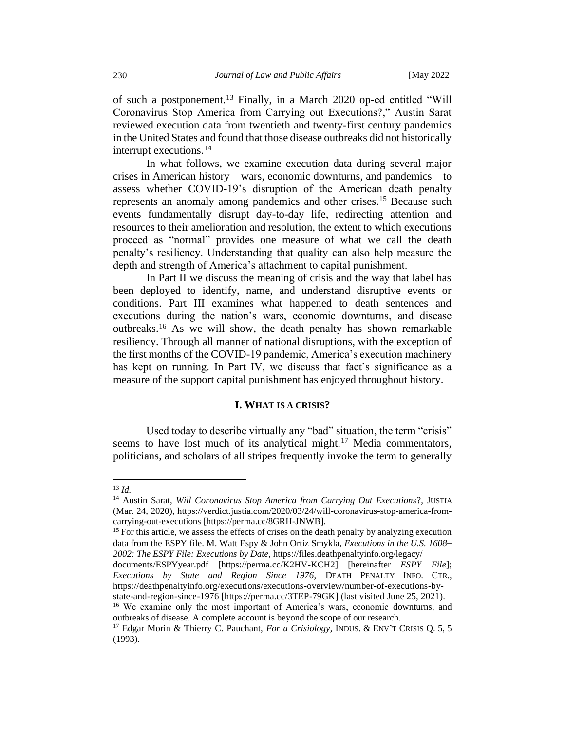of such a postponement.<sup>13</sup> Finally, in a March 2020 op-ed entitled "Will Coronavirus Stop America from Carrying out Executions?," Austin Sarat reviewed execution data from twentieth and twenty-first century pandemics in the United States and found that those disease outbreaks did not historically interrupt executions.<sup>14</sup>

In what follows, we examine execution data during several major crises in American history—wars, economic downturns, and pandemics—to assess whether COVID-19's disruption of the American death penalty represents an anomaly among pandemics and other crises.<sup>15</sup> Because such events fundamentally disrupt day-to-day life, redirecting attention and resources to their amelioration and resolution, the extent to which executions proceed as "normal" provides one measure of what we call the death penalty's resiliency. Understanding that quality can also help measure the depth and strength of America's attachment to capital punishment.

In Part II we discuss the meaning of crisis and the way that label has been deployed to identify, name, and understand disruptive events or conditions. Part III examines what happened to death sentences and executions during the nation's wars, economic downturns, and disease outbreaks.<sup>16</sup> As we will show, the death penalty has shown remarkable resiliency. Through all manner of national disruptions, with the exception of the first months of the COVID-19 pandemic, America's execution machinery has kept on running. In Part IV, we discuss that fact's significance as a measure of the support capital punishment has enjoyed throughout history.

#### **I. WHAT IS A CRISIS?**

<span id="page-3-0"></span>Used today to describe virtually any "bad" situation, the term "crisis" seems to have lost much of its analytical might.<sup>17</sup> Media commentators, politicians, and scholars of all stripes frequently invoke the term to generally

 $^{13}$  *Id.* 

<sup>14</sup> Austin Sarat, *Will Coronavirus Stop America from Carrying Out Executions*?, JUSTIA (Mar. 24, 2020), https://verdict.justia.com/2020/03/24/will-coronavirus-stop-america-fromcarrying-out-executions [https://perma.cc/8GRH-JNWB].

<sup>&</sup>lt;sup>15</sup> For this article, we assess the effects of crises on the death penalty by analyzing execution data from the ESPY file. M. Watt Espy & John Ortiz Smykla, *Executions in the U.S. 1608– 2002: The ESPY File: Executions by Date*, https://files.deathpenaltyinfo.org/legacy/

documents/ESPYyear.pdf [https://perma.cc/K2HV-KCH2] [hereinafter *ESPY File*]; *Executions by State and Region Since 1976*, DEATH PENALTY INFO. CTR., https://deathpenaltyinfo.org/executions/executions-overview/number-of-executions-bystate-and-region-since-1976 [https://perma.cc/3TEP-79GK] (last visited June 25, 2021).

<sup>&</sup>lt;sup>16</sup> We examine only the most important of America's wars, economic downturns, and outbreaks of disease. A complete account is beyond the scope of our research.

<sup>17</sup> Edgar Morin & Thierry C. Pauchant, *For a Crisiology*, INDUS. & ENV'T CRISIS Q. 5, 5 (1993).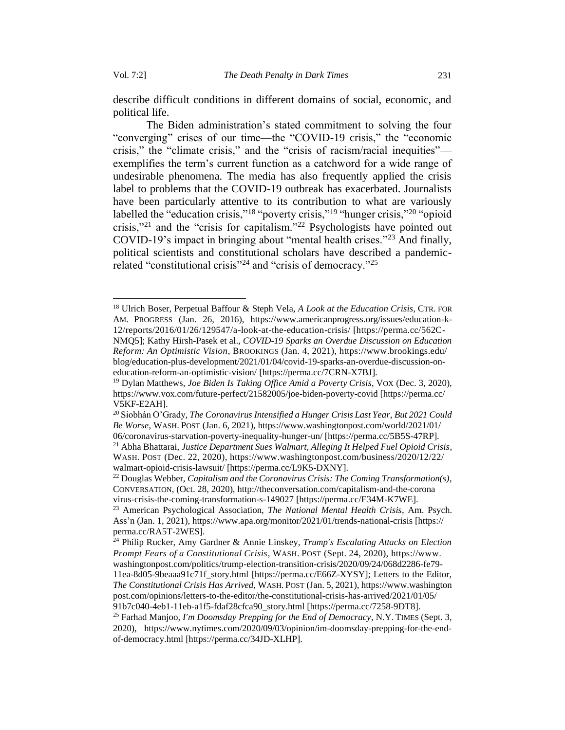describe difficult conditions in different domains of social, economic, and political life.

The Biden administration's stated commitment to solving the four "converging" crises of our time—the "COVID-19 crisis," the "economic crisis," the "climate crisis," and the "crisis of racism/racial inequities" exemplifies the term's current function as a catchword for a wide range of undesirable phenomena. The media has also frequently applied the crisis label to problems that the COVID-19 outbreak has exacerbated. Journalists have been particularly attentive to its contribution to what are variously labelled the "education crisis,"<sup>18</sup> "poverty crisis,"<sup>19</sup> "hunger crisis,"<sup>20</sup> "opioid crisis,"<sup>21</sup> and the "crisis for capitalism."<sup>22</sup> Psychologists have pointed out COVID-19's impact in bringing about "mental health crises."<sup>23</sup> And finally, political scientists and constitutional scholars have described a pandemicrelated "constitutional crisis"<sup>24</sup> and "crisis of democracy."<sup>25</sup>

<sup>18</sup> Ulrich Boser, Perpetual Baffour & Steph Vela, *A Look at the Education Crisis,* CTR. FOR AM. PROGRESS (Jan. 26, 2016), https://www.americanprogress.org/issues/education-k-12/reports/2016/01/26/129547/a-look-at-the-education-crisis/ [https://perma.cc/562C-NMQ5]; Kathy Hirsh-Pasek et al., *COVID-19 Sparks an Overdue Discussion on Education Reform: An Optimistic Vision*, BROOKINGS (Jan. 4, 2021), https://www.brookings.edu/ blog/education-plus-development/2021/01/04/covid-19-sparks-an-overdue-discussion-oneducation-reform-an-optimistic-vision/ [https://perma.cc/7CRN-X7BJ].

<sup>&</sup>lt;sup>19</sup> Dylan Matthews, *Joe Biden Is Taking Office Amid a Poverty Crisis*, VOX (Dec. 3, 2020), https://www.vox.com/future-perfect/21582005/joe-biden-poverty-covid [https://perma.cc/ V5KF-E2AH].

<sup>20</sup>Siobhán O'Grady, *The Coronavirus Intensified a Hunger Crisis Last Year, But 2021 Could Be Worse*, WASH.POST (Jan. 6, 2021), https://www.washingtonpost.com/world/2021/01/ 06/coronavirus-starvation-poverty-inequality-hunger-un/ [https://perma.cc/5B5S-47RP]. <sup>21</sup> Abha Bhattarai, *Justice Department Sues Walmart, Alleging It Helped Fuel Opioid Crisis*, WASH. POST (Dec. 22, 2020), https://www.washingtonpost.com/business/2020/12/22/ walmart-opioid-crisis-lawsuit/ [https://perma.cc/L9K5-DXNY].

<sup>22</sup> Douglas Webber, *Capitalism and the Coronavirus Crisis: The Coming Transformation(s)*, CONVERSATION, (Oct. 28, 2020), http://theconversation.com/capitalism-and-the-corona virus-crisis-the-coming-transformation-s-149027 [https://perma.cc/E34M-K7WE].

<sup>23</sup> American Psychological Association, *The National Mental Health Crisis*, Am. Psych. Ass'n (Jan. 1, 2021), https://www.apa.org/monitor/2021/01/trends-national-crisis [https:// perma.cc/RA5T-2WES].

<sup>24</sup> Philip Rucker, Amy Gardner & Annie Linskey, *Trump's Escalating Attacks on Election Prompt Fears of a Constitutional Crisis*, WASH. POST (Sept. 24, 2020), https://www. washingtonpost.com/politics/trump-election-transition-crisis/2020/09/24/068d2286-fe79- 11ea-8d05-9beaaa91c71f\_story.html [https://perma.cc/E66Z-XYSY]; Letters to the Editor, *The Constitutional Crisis Has Arrived*, WASH.POST (Jan. 5, 2021), https://www.washington post.com/opinions/letters-to-the-editor/the-constitutional-crisis-has-arrived/2021/01/05/ 91b7c040-4eb1-11eb-a1f5-fdaf28cfca90\_story.html [https://perma.cc/7258-9DT8]. <sup>25</sup> Farhad Manjoo, *I'm Doomsday Prepping for the End of Democracy*, N.Y. TIMES (Sept. 3, 2020), https://www.nytimes.com/2020/09/03/opinion/im-doomsday-prepping-for-the-endof-democracy.html [https://perma.cc/34JD-XLHP].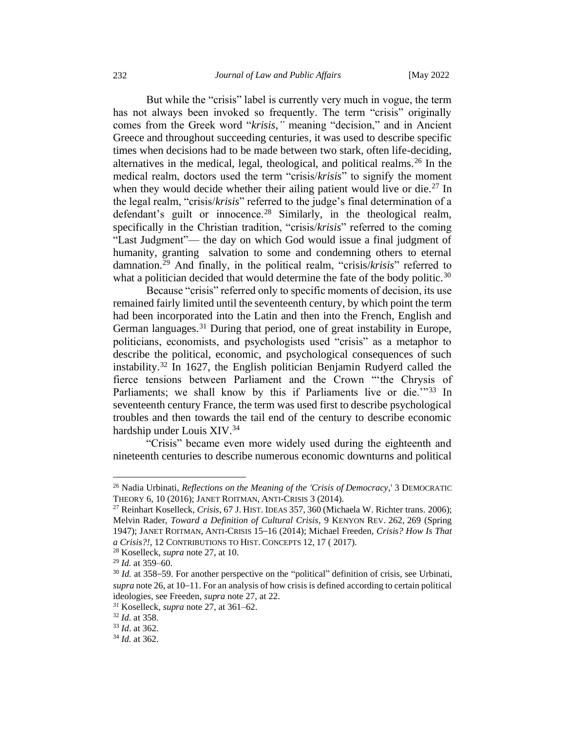But while the "crisis" label is currently very much in vogue, the term has not always been invoked so frequently. The term "crisis" originally comes from the Greek word "*krisis*,*"* meaning "decision," and in Ancient Greece and throughout succeeding centuries, it was used to describe specific times when decisions had to be made between two stark, often life-deciding, alternatives in the medical, legal, theological, and political realms.<sup>26</sup> In the medical realm, doctors used the term "crisis/*krisis*" to signify the moment when they would decide whether their ailing patient would live or die.<sup>27</sup> In the legal realm, "crisis/*krisis*" referred to the judge's final determination of a defendant's guilt or innocence.<sup>28</sup> Similarly, in the theological realm, specifically in the Christian tradition, "crisis/*krisis*" referred to the coming "Last Judgment"— the day on which God would issue a final judgment of humanity, granting salvation to some and condemning others to eternal damnation.<sup>29</sup> And finally, in the political realm, "crisis/*krisis*" referred to what a politician decided that would determine the fate of the body politic.<sup>30</sup>

Because "crisis" referred only to specific moments of decision, its use remained fairly limited until the seventeenth century, by which point the term had been incorporated into the Latin and then into the French, English and German languages.<sup>31</sup> During that period, one of great instability in Europe, politicians, economists, and psychologists used "crisis" as a metaphor to describe the political, economic, and psychological consequences of such instability.<sup>32</sup> In 1627, the English politician Benjamin Rudyerd called the fierce tensions between Parliament and the Crown "'the Chrysis of Parliaments; we shall know by this if Parliaments live or die.'"33 In seventeenth century France, the term was used first to describe psychological troubles and then towards the tail end of the century to describe economic hardship under Louis XIV.<sup>34</sup>

"Crisis" became even more widely used during the eighteenth and nineteenth centuries to describe numerous economic downturns and political

<sup>26</sup> Nadia Urbinati, *Reflections on the Meaning of the 'Crisis of Democracy*,' 3 DEMOCRATIC THEORY 6, 10 (2016); JANET ROITMAN, ANTI-CRISIS 3 (2014).

<sup>27</sup> Reinhart Koselleck, *Crisis*, 67 J. HIST. IDEAS 357, 360 (Michaela W. Richter trans. 2006); Melvin Rader, *Toward a Definition of Cultural Crisis*, 9 KENYON REV. 262, 269 (Spring 1947); JANET ROITMAN, ANTI-CRISIS 15–16 (2014); Michael Freeden, *Crisis? How Is That a Crisis?!*, 12 CONTRIBUTIONS TO HIST. CONCEPTS 12, 17 ( 2017).

<sup>28</sup> Koselleck, *supra* note 27, at 10.

<sup>29</sup> *Id.* at 359–60.

<sup>&</sup>lt;sup>30</sup> *Id.* at 358–59. For another perspective on the "political" definition of crisis, see Urbinati, *supra* note 26, at 10–11. For an analysis of how crisis is defined according to certain political ideologies, see Freeden, *supra* note 27, at 22.

*<sup>31</sup>* Koselleck, *supra* note 27, at 361–62.

<sup>32</sup> *Id.* at 358.

<sup>33</sup> *Id*. at 362.

<sup>34</sup> *Id.* at 362.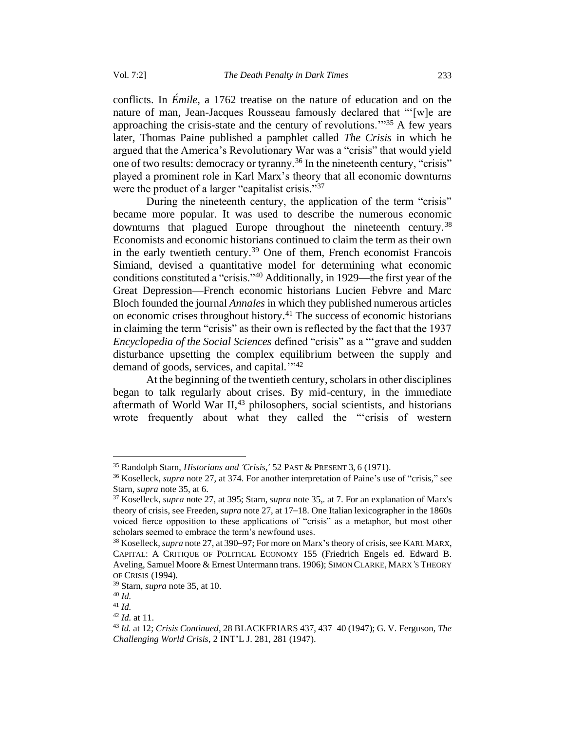conflicts. In *Émile,* a 1762 treatise on the nature of education and on the nature of man, Jean-Jacques Rousseau famously declared that "'[w]e are approaching the crisis-state and the century of revolutions. $1^{35}$  A few years later, Thomas Paine published a pamphlet called *The Crisis* in which he argued that the America's Revolutionary War was a "crisis" that would yield one of two results: democracy or tyranny.<sup>36</sup> In the nineteenth century, "crisis" played a prominent role in Karl Marx's theory that all economic downturns were the product of a larger "capitalist crisis."<sup>37</sup>

During the nineteenth century, the application of the term "crisis" became more popular. It was used to describe the numerous economic downturns that plagued Europe throughout the nineteenth century.<sup>38</sup> Economists and economic historians continued to claim the term as their own in the early twentieth century.<sup>39</sup> One of them, French economist Francois Simiand, devised a quantitative model for determining what economic conditions constituted a "crisis."<sup>40</sup> Additionally, in 1929—the first year of the Great Depression—French economic historians Lucien Febvre and Marc Bloch founded the journal *Annales* in which they published numerous articles on economic crises throughout history.<sup>41</sup> The success of economic historians in claiming the term "crisis" as their own is reflected by the fact that the 1937 *Encyclopedia of the Social Sciences* defined "crisis" as a "'grave and sudden disturbance upsetting the complex equilibrium between the supply and demand of goods, services, and capital*.*'" 42

At the beginning of the twentieth century, scholars in other disciplines began to talk regularly about crises. By mid-century, in the immediate aftermath of World War  $II$ ,<sup>43</sup> philosophers, social scientists, and historians wrote frequently about what they called the "'crisis of western

<sup>35</sup> Randolph Starn, *Historians and 'Crisis*,*'* 52 PAST & PRESENT 3, 6 (1971).

<sup>36</sup> Koselleck, *supra* note 27, at 374. For another interpretation of Paine's use of "crisis," see Starn, *supra* note 35, at 6.

<sup>37</sup> Koselleck, *supra* note 27, at 395; Starn, *supra* note 35,*.* at 7. For an explanation of Marx's theory of crisis, see Freeden, *supra* note 27, at 17–18. One Italian lexicographer in the 1860s voiced fierce opposition to these applications of "crisis" as a metaphor, but most other scholars seemed to embrace the term's newfound uses.

<sup>&</sup>lt;sup>38</sup> Koselleck, *supra* note 27, at 390–97; For more on Marx's theory of crisis, see KARL MARX, CAPITAL: A CRITIQUE OF POLITICAL ECONOMY 155 (Friedrich Engels ed. Edward B. Aveling, Samuel Moore & Ernest Untermann trans. 1906); SIMON CLARKE, MARX*'*S THEORY OF CRISIS (1994).

<sup>39</sup> Starn, *supra* note 35, at 10.

<sup>40</sup> *Id.*

<sup>41</sup> *Id.*

<sup>42</sup> *Id.* at 11.

<sup>43</sup> *Id.* at 12; *Crisis Continued*, 28 BLACKFRIARS 437, 437–40 (1947); G. V. Ferguson, *The Challenging World Crisis*, 2 INT'L J. 281, 281 (1947).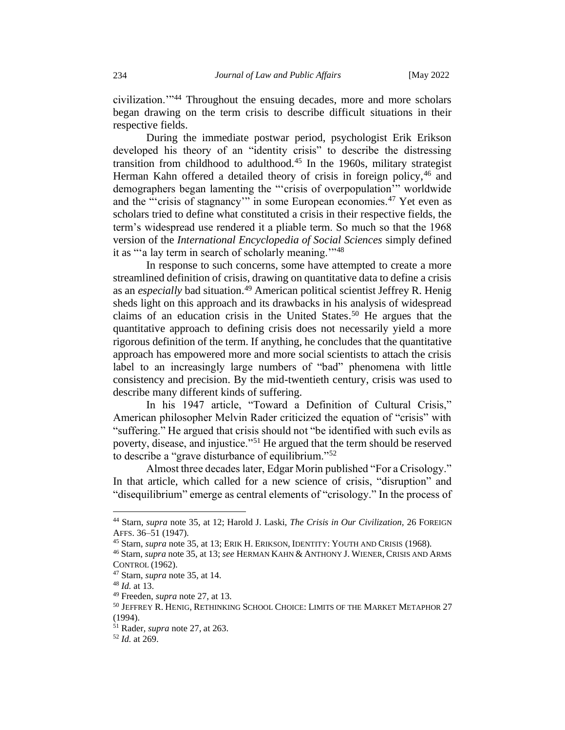civilization.'"<sup>44</sup> Throughout the ensuing decades, more and more scholars began drawing on the term crisis to describe difficult situations in their respective fields.

During the immediate postwar period, psychologist Erik Erikson developed his theory of an "identity crisis" to describe the distressing transition from childhood to adulthood.<sup>45</sup> In the 1960s, military strategist Herman Kahn offered a detailed theory of crisis in foreign policy,<sup>46</sup> and demographers began lamenting the "'crisis of overpopulation'" worldwide and the "'crisis of stagnancy" in some European economies.<sup>47</sup> Yet even as scholars tried to define what constituted a crisis in their respective fields, the term's widespread use rendered it a pliable term. So much so that the 1968 version of the *International Encyclopedia of Social Sciences* simply defined it as "'a lay term in search of scholarly meaning."<sup>48</sup>

In response to such concerns, some have attempted to create a more streamlined definition of crisis, drawing on quantitative data to define a crisis as an *especially* bad situation.<sup>49</sup> American political scientist Jeffrey R. Henig sheds light on this approach and its drawbacks in his analysis of widespread claims of an education crisis in the United States.<sup>50</sup> He argues that the quantitative approach to defining crisis does not necessarily yield a more rigorous definition of the term. If anything, he concludes that the quantitative approach has empowered more and more social scientists to attach the crisis label to an increasingly large numbers of "bad" phenomena with little consistency and precision. By the mid-twentieth century, crisis was used to describe many different kinds of suffering.

In his 1947 article, "Toward a Definition of Cultural Crisis," American philosopher Melvin Rader criticized the equation of "crisis" with "suffering." He argued that crisis should not "be identified with such evils as poverty, disease, and injustice."<sup>51</sup> He argued that the term should be reserved to describe a "grave disturbance of equilibrium."<sup>52</sup>

Almost three decades later, Edgar Morin published "For a Crisology." In that article, which called for a new science of crisis, "disruption" and "disequilibrium" emerge as central elements of "crisology." In the process of

<sup>44</sup> Starn, *supra* note 35, at 12; Harold J. Laski, *The Crisis in Our Civilization,* 26 FOREIGN AFFS. 36–51 (1947).

<sup>45</sup> Starn, *supra* note 35, at 13; ERIK H. ERIKSON, IDENTITY: YOUTH AND CRISIS (1968).

<sup>46</sup> Starn, *supra* note 35, at 13; *see* HERMAN KAHN & ANTHONY J. WIENER, CRISIS AND ARMS CONTROL (1962).

<sup>47</sup> Starn, *supra* note 35, at 14.

<sup>48</sup> *Id.* at 13.

<sup>49</sup> Freeden, *supra* note 27, at 13.

<sup>50</sup> JEFFREY R. HENIG, RETHINKING SCHOOL CHOICE: LIMITS OF THE MARKET METAPHOR 27 (1994).

<sup>51</sup> Rader, *supra* note 27, at 263.

<sup>52</sup> *Id.* at 269.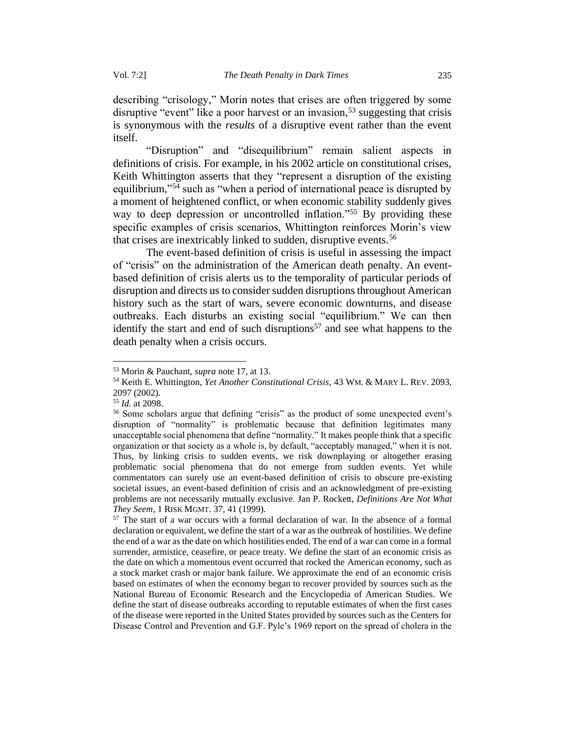describing "crisology," Morin notes that crises are often triggered by some disruptive "event" like a poor harvest or an invasion,  $53$  suggesting that crisis is synonymous with the *results* of a disruptive event rather than the event itself.

"Disruption" and "disequilibrium" remain salient aspects in definitions of crisis. For example, in his 2002 article on constitutional crises, Keith Whittington asserts that they "represent a disruption of the existing equilibrium,"<sup>54</sup> such as "when a period of international peace is disrupted by a moment of heightened conflict, or when economic stability suddenly gives way to deep depression or uncontrolled inflation."<sup>55</sup> By providing these specific examples of crisis scenarios, Whittington reinforces Morin's view that crises are inextricably linked to sudden, disruptive events.<sup>56</sup>

The event-based definition of crisis is useful in assessing the impact of "crisis" on the administration of the American death penalty. An eventbased definition of crisis alerts us to the temporality of particular periods of disruption and directs us to consider sudden disruptions throughout American history such as the start of wars, severe economic downturns, and disease outbreaks. Each disturbs an existing social "equilibrium." We can then identify the start and end of such disruptions<sup>57</sup> and see what happens to the death penalty when a crisis occurs.

<sup>53</sup> Morin & Pauchant, *supra* note 17, at 13.

<sup>54</sup> Keith E. Whittington, *Yet Another Constitutional Crisis*, 43 WM. & MARY L. REV. 2093, 2097 (2002).

<sup>55</sup> *Id.* at 2098.

<sup>56</sup> Some scholars argue that defining "crisis" as the product of some unexpected event's disruption of "normality" is problematic because that definition legitimates many unacceptable social phenomena that define "normality." It makes people think that a specific organization or that society as a whole is, by default, "acceptably managed," when it is not. Thus, by linking crisis to sudden events, we risk downplaying or altogether erasing problematic social phenomena that do not emerge from sudden events. Yet while commentators can surely use an event-based definition of crisis to obscure pre-existing societal issues, an event-based definition of crisis and an acknowledgment of pre-existing problems are not necessarily mutually exclusive. Jan P. Rockett, *Definitions Are Not What They Seem*, 1 RISK MGMT. 37, 41 (1999).

<sup>57</sup> The start of a war occurs with a formal declaration of war. In the absence of a formal declaration or equivalent, we define the start of a war as the outbreak of hostilities. We define the end of a war as the date on which hostilities ended. The end of a war can come in a formal surrender, armistice, ceasefire, or peace treaty. We define the start of an economic crisis as the date on which a momentous event occurred that rocked the American economy, such as a stock market crash or major bank failure. We approximate the end of an economic crisis based on estimates of when the economy began to recover provided by sources such as the National Bureau of Economic Research and the Encyclopedia of American Studies. We define the start of disease outbreaks according to reputable estimates of when the first cases of the disease were reported in the United States provided by sources such as the Centers for Disease Control and Prevention and G.F. Pyle's 1969 report on the spread of cholera in the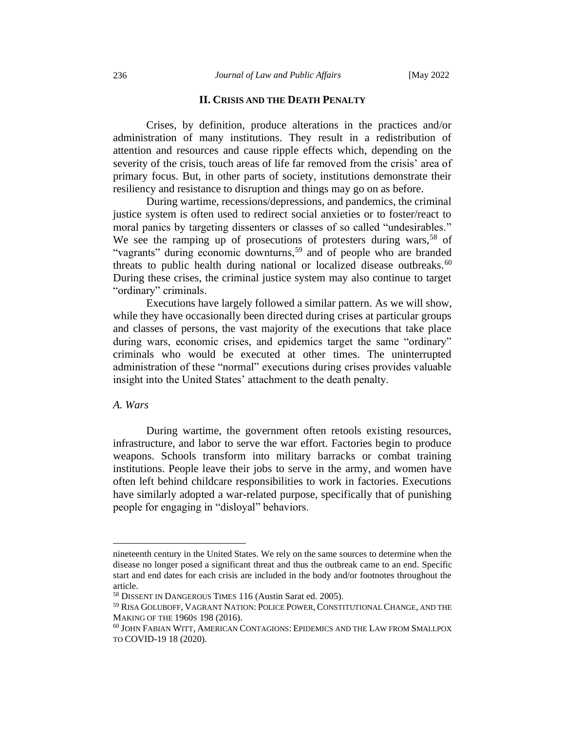#### **II. CRISIS AND THE DEATH PENALTY**

<span id="page-9-0"></span>Crises, by definition, produce alterations in the practices and/or administration of many institutions. They result in a redistribution of attention and resources and cause ripple effects which, depending on the severity of the crisis, touch areas of life far removed from the crisis' area of primary focus. But, in other parts of society, institutions demonstrate their resiliency and resistance to disruption and things may go on as before.

During wartime, recessions/depressions, and pandemics, the criminal justice system is often used to redirect social anxieties or to foster/react to moral panics by targeting dissenters or classes of so called "undesirables." We see the ramping up of prosecutions of protesters during wars,<sup>58</sup> of "vagrants" during economic downturns,<sup>59</sup> and of people who are branded threats to public health during national or localized disease outbreaks.  $60$ During these crises, the criminal justice system may also continue to target "ordinary" criminals.

Executions have largely followed a similar pattern. As we will show, while they have occasionally been directed during crises at particular groups and classes of persons, the vast majority of the executions that take place during wars, economic crises, and epidemics target the same "ordinary" criminals who would be executed at other times. The uninterrupted administration of these "normal" executions during crises provides valuable insight into the United States' attachment to the death penalty.

## <span id="page-9-1"></span>*A. Wars*

During wartime, the government often retools existing resources, infrastructure, and labor to serve the war effort. Factories begin to produce weapons. Schools transform into military barracks or combat training institutions. People leave their jobs to serve in the army, and women have often left behind childcare responsibilities to work in factories. Executions have similarly adopted a war-related purpose, specifically that of punishing people for engaging in "disloyal" behaviors.

nineteenth century in the United States. We rely on the same sources to determine when the disease no longer posed a significant threat and thus the outbreak came to an end. Specific start and end dates for each crisis are included in the body and/or footnotes throughout the article.

<sup>58</sup> DISSENT IN DANGEROUS TIMES 116 (Austin Sarat ed. 2005).

<sup>59</sup> RISA GOLUBOFF, VAGRANT NATION:POLICE POWER, CONSTITUTIONAL CHANGE, AND THE MAKING OF THE 1960S 198 (2016).

<sup>60</sup> JOHN FABIAN WITT, AMERICAN CONTAGIONS: EPIDEMICS AND THE LAW FROM SMALLPOX TO COVID-19 18 (2020).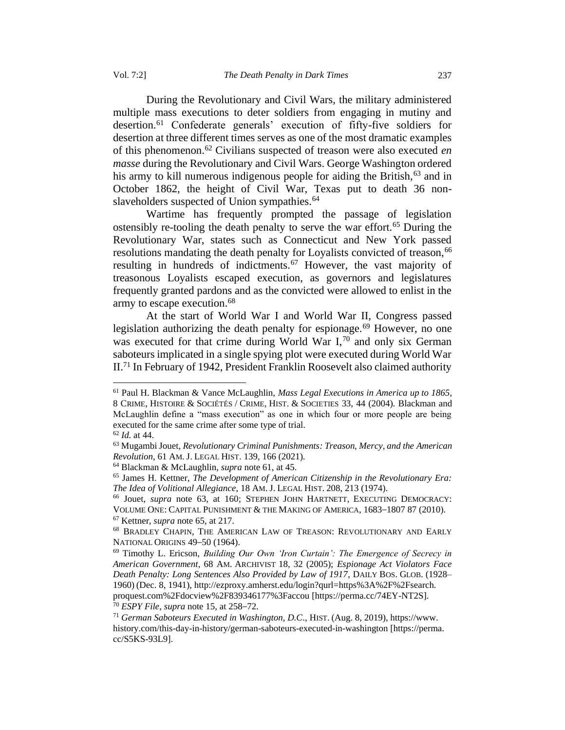During the Revolutionary and Civil Wars, the military administered multiple mass executions to deter soldiers from engaging in mutiny and desertion.<sup>61</sup> Confederate generals' execution of fifty-five soldiers for desertion at three different times serves as one of the most dramatic examples of this phenomenon.<sup>62</sup> Civilians suspected of treason were also executed *en masse* during the Revolutionary and Civil Wars. George Washington ordered his army to kill numerous indigenous people for aiding the British,  $63$  and in October 1862, the height of Civil War, Texas put to death 36 nonslaveholders suspected of Union sympathies.<sup>64</sup>

Wartime has frequently prompted the passage of legislation ostensibly re-tooling the death penalty to serve the war effort.<sup>65</sup> During the Revolutionary War, states such as Connecticut and New York passed resolutions mandating the death penalty for Loyalists convicted of treason, 66 resulting in hundreds of indictments.<sup>67</sup> However, the vast majority of treasonous Loyalists escaped execution, as governors and legislatures frequently granted pardons and as the convicted were allowed to enlist in the army to escape execution.<sup>68</sup>

At the start of World War I and World War II, Congress passed legislation authorizing the death penalty for espionage.<sup>69</sup> However, no one was executed for that crime during World War I,<sup>70</sup> and only six German saboteurs implicated in a single spying plot were executed during World War II.<sup>71</sup> In February of 1942, President Franklin Roosevelt also claimed authority

<sup>70</sup> *ESPY File*, *supra* note 15, at 258–72.

<sup>61</sup> Paul H. Blackman & Vance McLaughlin, *Mass Legal Executions in America up to 1865*, 8 CRIME, HISTOIRE & SOCIÉTÉS / CRIME, HIST. & SOCIETIES 33, 44 (2004). Blackman and McLaughlin define a "mass execution" as one in which four or more people are being executed for the same crime after some type of trial.

<sup>62</sup> *Id.* at 44.

<sup>63</sup> Mugambi Jouet, *Revolutionary Criminal Punishments: Treason, Mercy, and the American Revolution*, 61 AM. J. LEGAL HIST. 139, 166 (2021).

<sup>64</sup> Blackman & McLaughlin, *supra* note 61, at 45.

<sup>65</sup> James H. Kettner, *The Development of American Citizenship in the Revolutionary Era: The Idea of Volitional Allegiance*, 18 AM. J. LEGAL HIST. 208, 213 (1974).

<sup>66</sup> Jouet, *supra* note 63, at 160; STEPHEN JOHN HARTNETT, EXECUTING DEMOCRACY: VOLUME ONE: CAPITAL PUNISHMENT & THE MAKING OF AMERICA, 1683–1807 87 (2010). <sup>67</sup> Kettner, *supra* note 65, at 217.

<sup>68</sup> BRADLEY CHAPIN, THE AMERICAN LAW OF TREASON: REVOLUTIONARY AND EARLY

NATIONAL ORIGINS 49–50 (1964).

<sup>69</sup> Timothy L. Ericson, *Building Our Own 'Iron Curtain': The Emergence of Secrecy in American Government*, 68 AM. ARCHIVIST 18, 32 (2005); *Espionage Act Violators Face Death Penalty: Long Sentences Also Provided by Law of 1917*, DAILY BOS. GLOB. (1928– 1960) (Dec. 8, 1941), http://ezproxy.amherst.edu/login?qurl=https%3A%2F%2Fsearch. proquest.com%2Fdocview%2F839346177%3Faccou [https://perma.cc/74EY-NT2S].

<sup>71</sup> *German Saboteurs Executed in Washington, D.C*., HIST. (Aug. 8, 2019), https://www. history.com/this-day-in-history/german-saboteurs-executed-in-washington [https://perma. cc/S5KS-93L9].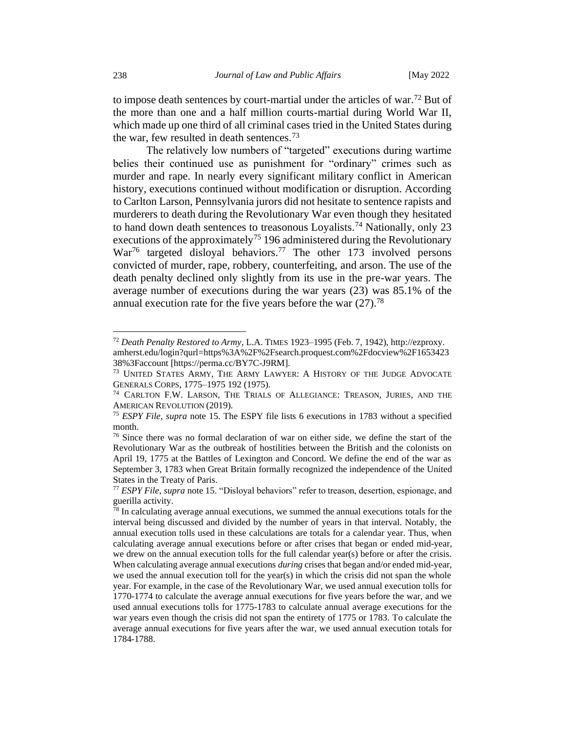to impose death sentences by court-martial under the articles of war.<sup>72</sup> But of the more than one and a half million courts-martial during World War II, which made up one third of all criminal cases tried in the United States during the war, few resulted in death sentences.<sup>73</sup>

The relatively low numbers of "targeted" executions during wartime belies their continued use as punishment for "ordinary" crimes such as murder and rape. In nearly every significant military conflict in American history, executions continued without modification or disruption. According to Carlton Larson, Pennsylvania jurors did not hesitate to sentence rapists and murderers to death during the Revolutionary War even though they hesitated to hand down death sentences to treasonous Loyalists.<sup>74</sup> Nationally, only 23 executions of the approximately<sup>75</sup> 196 administered during the Revolutionary War<sup>76</sup> targeted disloyal behaviors.<sup>77</sup> The other 173 involved persons convicted of murder, rape, robbery, counterfeiting, and arson. The use of the death penalty declined only slightly from its use in the pre-war years. The average number of executions during the war years (23) was 85.1% of the annual execution rate for the five years before the war  $(27)$ .<sup>78</sup>

<sup>72</sup> *Death Penalty Restored to Army*, L.A. TIMES 1923–1995 (Feb. 7, 1942), http://ezproxy. amherst.edu/login?qurl=https%3A%2F%2Fsearch.proquest.com%2Fdocview%2F1653423 38%3Faccount [https://perma.cc/BY7C-J9RM].

<sup>&</sup>lt;sup>73</sup> UNITED STATES ARMY, THE ARMY LAWYER: A HISTORY OF THE JUDGE ADVOCATE GENERALS CORPS, 1775–1975 192 (1975).

<sup>&</sup>lt;sup>74</sup> CARLTON F.W. LARSON, THE TRIALS OF ALLEGIANCE: TREASON, JURIES, AND THE AMERICAN REVOLUTION (2019).

<sup>75</sup> *ESPY File*, *supra* note 15. The ESPY file lists 6 executions in 1783 without a specified month.

<sup>76</sup> Since there was no formal declaration of war on either side, we define the start of the Revolutionary War as the outbreak of hostilities between the British and the colonists on April 19, 1775 at the Battles of Lexington and Concord. We define the end of the war as September 3, 1783 when Great Britain formally recognized the independence of the United States in the Treaty of Paris.

<sup>77</sup> *ESPY File*, *supra* note 15. "Disloyal behaviors" refer to treason, desertion, espionage, and guerilla activity.

<sup>78</sup> In calculating average annual executions, we summed the annual executions totals for the interval being discussed and divided by the number of years in that interval. Notably, the annual execution tolls used in these calculations are totals for a calendar year. Thus, when calculating average annual executions before or after crises that began or ended mid-year, we drew on the annual execution tolls for the full calendar year(s) before or after the crisis. When calculating average annual executions *during* crises that began and/or ended mid-year, we used the annual execution toll for the year(s) in which the crisis did not span the whole year. For example, in the case of the Revolutionary War, we used annual execution tolls for 1770-1774 to calculate the average annual executions for five years before the war, and we used annual executions tolls for 1775-1783 to calculate annual average executions for the war years even though the crisis did not span the entirety of 1775 or 1783. To calculate the average annual executions for five years after the war, we used annual execution totals for 1784-1788.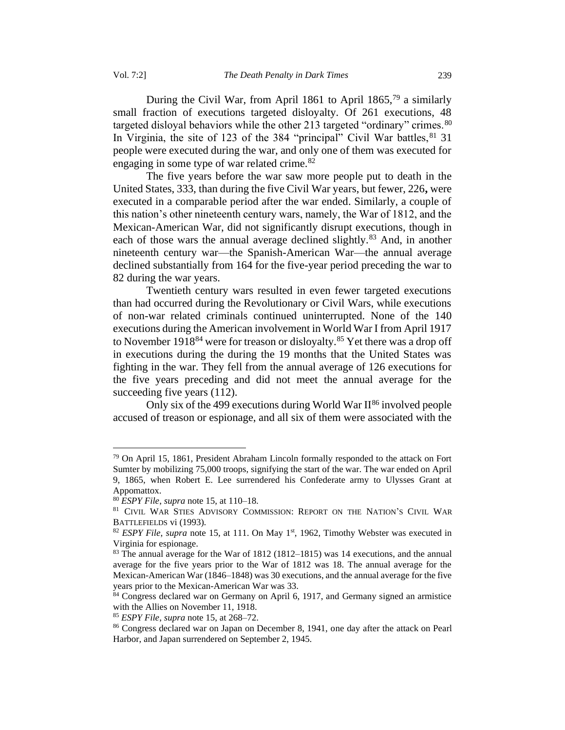During the Civil War, from April 1861 to April 1865,<sup>79</sup> a similarly small fraction of executions targeted disloyalty. Of 261 executions, 48 targeted disloyal behaviors while the other 213 targeted "ordinary" crimes.<sup>80</sup> In Virginia, the site of 123 of the 384 "principal" Civil War battles,  $81\,31$ people were executed during the war, and only one of them was executed for engaging in some type of war related crime.<sup>82</sup>

The five years before the war saw more people put to death in the United States, 333, than during the five Civil War years, but fewer, 226**,** were executed in a comparable period after the war ended. Similarly, a couple of this nation's other nineteenth century wars, namely, the War of 1812, and the Mexican-American War, did not significantly disrupt executions, though in each of those wars the annual average declined slightly.<sup>83</sup> And, in another nineteenth century war—the Spanish-American War—the annual average declined substantially from 164 for the five-year period preceding the war to 82 during the war years.

Twentieth century wars resulted in even fewer targeted executions than had occurred during the Revolutionary or Civil Wars, while executions of non-war related criminals continued uninterrupted. None of the 140 executions during the American involvement in World War I from April 1917 to November 1918<sup>84</sup> were for treason or disloyalty.<sup>85</sup> Yet there was a drop off in executions during the during the 19 months that the United States was fighting in the war. They fell from the annual average of 126 executions for the five years preceding and did not meet the annual average for the succeeding five years  $(112)$ .

Only six of the 499 executions during World War  $II^{86}$  involved people accused of treason or espionage, and all six of them were associated with the

 $79$  On April 15, 1861, President Abraham Lincoln formally responded to the attack on Fort Sumter by mobilizing 75,000 troops, signifying the start of the war. The war ended on April 9, 1865, when Robert E. Lee surrendered his Confederate army to Ulysses Grant at Appomattox.

<sup>80</sup> *ESPY File*, *supra* note 15, at 110–18.

<sup>81</sup> CIVIL WAR STIES ADVISORY COMMISSION: REPORT ON THE NATION'S CIVIL WAR BATTLEFIELDS vi (1993).

<sup>&</sup>lt;sup>82</sup> *ESPY File*, *supra* note 15, at 111. On May 1<sup>st</sup>, 1962, Timothy Webster was executed in Virginia for espionage.

<sup>83</sup> The annual average for the War of 1812 (1812–1815) was 14 executions, and the annual average for the five years prior to the War of 1812 was 18. The annual average for the Mexican-American War (1846–1848) was 30 executions, and the annual average for the five years prior to the Mexican-American War was 33.

<sup>84</sup> Congress declared war on Germany on April 6, 1917, and Germany signed an armistice with the Allies on November 11, 1918.

<sup>85</sup> *ESPY File*, *supra* note 15, at 268–72.

<sup>86</sup> Congress declared war on Japan on December 8, 1941, one day after the attack on Pearl Harbor, and Japan surrendered on September 2, 1945.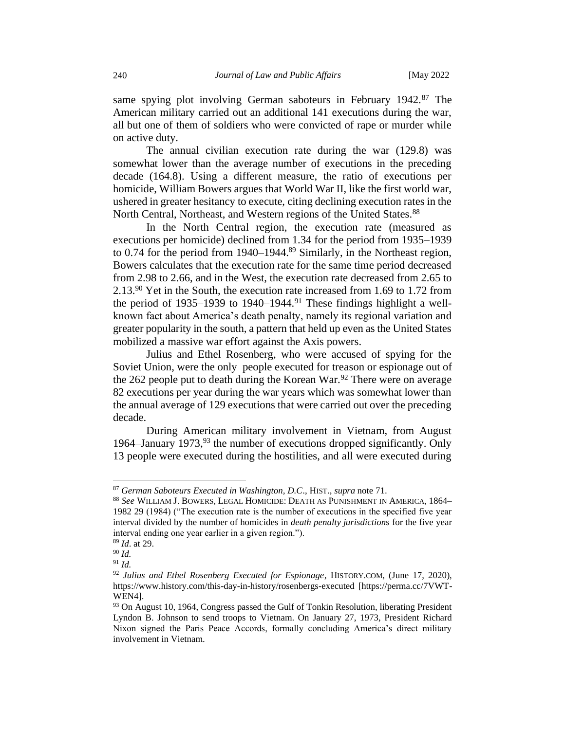same spying plot involving German saboteurs in February 1942.87 The American military carried out an additional 141 executions during the war, all but one of them of soldiers who were convicted of rape or murder while on active duty.

The annual civilian execution rate during the war (129.8) was somewhat lower than the average number of executions in the preceding decade (164.8). Using a different measure, the ratio of executions per homicide, William Bowers argues that World War II, like the first world war, ushered in greater hesitancy to execute, citing declining execution rates in the North Central, Northeast, and Western regions of the United States.<sup>88</sup>

In the North Central region, the execution rate (measured as executions per homicide) declined from 1.34 for the period from 1935–1939 to 0.74 for the period from 1940–1944.<sup>89</sup> Similarly, in the Northeast region, Bowers calculates that the execution rate for the same time period decreased from 2.98 to 2.66, and in the West, the execution rate decreased from 2.65 to 2.13.<sup>90</sup> Yet in the South, the execution rate increased from 1.69 to 1.72 from the period of 1935–1939 to 1940–1944.<sup>91</sup> These findings highlight a wellknown fact about America's death penalty, namely its regional variation and greater popularity in the south, a pattern that held up even as the United States mobilized a massive war effort against the Axis powers.

Julius and Ethel Rosenberg, who were accused of spying for the Soviet Union, were the only people executed for treason or espionage out of the 262 people put to death during the Korean War.<sup>92</sup> There were on average 82 executions per year during the war years which was somewhat lower than the annual average of 129 executions that were carried out over the preceding decade.

During American military involvement in Vietnam, from August 1964–January 1973,  $93$  the number of executions dropped significantly. Only 13 people were executed during the hostilities, and all were executed during

<sup>89</sup> *Id*. at 29.

<sup>87</sup> *German Saboteurs Executed in Washington, D.C*., HIST., *supra* note 71.

<sup>88</sup> *See* WILLIAM J. BOWERS, LEGAL HOMICIDE: DEATH AS PUNISHMENT IN AMERICA, 1864– 1982 29 (1984) ("The execution rate is the number of executions in the specified five year interval divided by the number of homicides in *death penalty jurisdiction*s for the five year interval ending one year earlier in a given region.").

<sup>90</sup> *Id.*

<sup>91</sup> *Id.*

<sup>92</sup> *Julius and Ethel Rosenberg Executed for Espionage*, HISTORY.COM, (June 17, 2020), https://www.history.com/this-day-in-history/rosenbergs-executed [https://perma.cc/7VWT-WEN4].

<sup>&</sup>lt;sup>93</sup> On August 10, 1964, Congress passed the Gulf of Tonkin Resolution, liberating President Lyndon B. Johnson to send troops to Vietnam. On January 27, 1973, President Richard Nixon signed the Paris Peace Accords, formally concluding America's direct military involvement in Vietnam.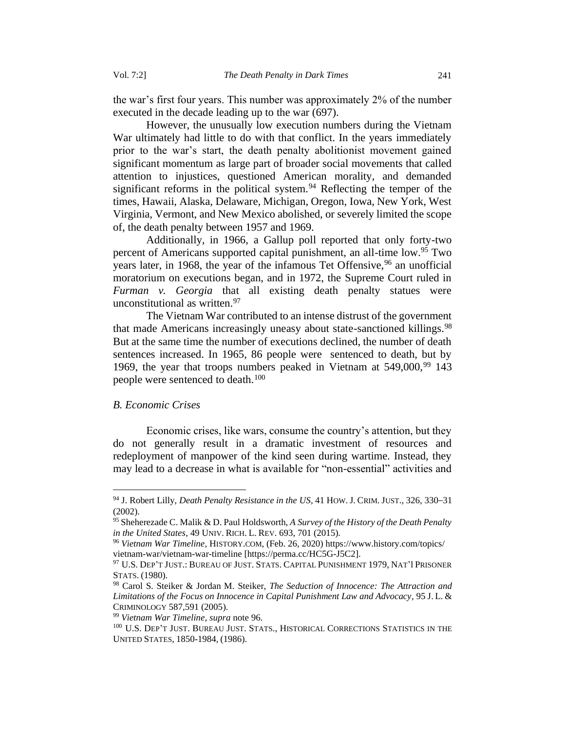the war's first four years. This number was approximately 2% of the number executed in the decade leading up to the war (697).

However, the unusually low execution numbers during the Vietnam War ultimately had little to do with that conflict. In the years immediately prior to the war's start, the death penalty abolitionist movement gained significant momentum as large part of broader social movements that called attention to injustices, questioned American morality, and demanded significant reforms in the political system.<sup>94</sup> Reflecting the temper of the times, Hawaii, Alaska, Delaware, Michigan, Oregon, Iowa, New York, West Virginia, Vermont, and New Mexico abolished, or severely limited the scope of, the death penalty between 1957 and 1969.

Additionally, in 1966, a Gallup poll reported that only forty-two percent of Americans supported capital punishment, an all-time low.<sup>95</sup> Two years later, in 1968, the year of the infamous Tet Offensive,  $96$  an unofficial moratorium on executions began, and in 1972, the Supreme Court ruled in *Furman v. Georgia* that all existing death penalty statues were unconstitutional as written.<sup>97</sup>

The Vietnam War contributed to an intense distrust of the government that made Americans increasingly uneasy about state-sanctioned killings.<sup>98</sup> But at the same time the number of executions declined, the number of death sentences increased. In 1965, 86 people were sentenced to death, but by 1969, the year that troops numbers peaked in Vietnam at  $549,000$ ,  $99$  143 people were sentenced to death.<sup>100</sup>

#### <span id="page-14-0"></span>*B. Economic Crises*

Economic crises, like wars, consume the country's attention, but they do not generally result in a dramatic investment of resources and redeployment of manpower of the kind seen during wartime. Instead, they may lead to a decrease in what is available for "non-essential" activities and

<sup>94</sup> J. Robert Lilly, *Death Penalty Resistance in the US*, 41 HOW. J. CRIM. JUST., 326, 330–31 (2002).

<sup>95</sup>Sheherezade C. Malik & D. Paul Holdsworth, *A Survey of the History of the Death Penalty in the United States*, 49 UNIV. RICH. L. REV. 693, 701 (2015).

<sup>96</sup> *Vietnam War Timeline*, HISTORY.COM, (Feb. 26, 2020) https://www.history.com/topics/ vietnam-war/vietnam-war-timeline [https://perma.cc/HC5G-J5C2].

<sup>97</sup> U.S. DEP'T JUST.: BUREAU OF JUST.STATS. CAPITAL PUNISHMENT 1979, NAT'lPRISONER STATS. (1980).

<sup>98</sup> Carol S. Steiker & Jordan M. Steiker, *The Seduction of Innocence: The Attraction and Limitations of the Focus on Innocence in Capital Punishment Law and Advocacy*, 95 J. L. & CRIMINOLOGY 587,591 (2005).

<sup>99</sup> *Vietnam War Timeline*, *supra* note 96.

<sup>&</sup>lt;sup>100</sup> U.S. DEP'T JUST. BUREAU JUST. STATS., HISTORICAL CORRECTIONS STATISTICS IN THE UNITED STATES, 1850-1984, (1986).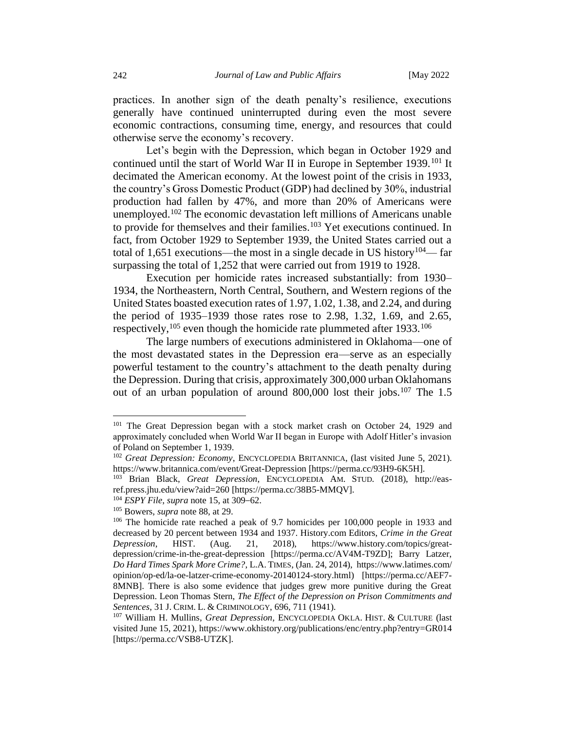practices. In another sign of the death penalty's resilience, executions generally have continued uninterrupted during even the most severe economic contractions, consuming time, energy, and resources that could otherwise serve the economy's recovery.

Let's begin with the Depression, which began in October 1929 and continued until the start of World War II in Europe in September 1939.<sup>101</sup> It decimated the American economy. At the lowest point of the crisis in 1933, the country's Gross Domestic Product (GDP) had declined by 30%, industrial production had fallen by 47%, and more than 20% of Americans were unemployed.<sup>102</sup> The economic devastation left millions of Americans unable to provide for themselves and their families.<sup>103</sup> Yet executions continued. In fact, from October 1929 to September 1939, the United States carried out a total of 1,651 executions—the most in a single decade in US history<sup>104</sup>— far surpassing the total of 1,252 that were carried out from 1919 to 1928.

Execution per homicide rates increased substantially: from 1930– 1934, the Northeastern, North Central, Southern, and Western regions of the United States boasted execution rates of 1.97, 1.02, 1.38, and 2.24, and during the period of 1935–1939 those rates rose to 2.98, 1.32, 1.69, and 2.65, respectively,  $105$  even though the homicide rate plummeted after 1933.<sup>106</sup>

The large numbers of executions administered in Oklahoma—one of the most devastated states in the Depression era—serve as an especially powerful testament to the country's attachment to the death penalty during the Depression. During that crisis, approximately 300,000 urban Oklahomans out of an urban population of around 800,000 lost their jobs.<sup>107</sup> The 1.5

<sup>&</sup>lt;sup>101</sup> The Great Depression began with a stock market crash on October 24, 1929 and approximately concluded when World War II began in Europe with Adolf Hitler's invasion of Poland on September 1, 1939.

<sup>102</sup> *Great Depression: Economy*, ENCYCLOPEDIA BRITANNICA, (last visited June 5, 2021). https://www.britannica.com/event/Great-Depression [https://perma.cc/93H9-6K5H].

<sup>103</sup> Brian Black, *Great Depression*, ENCYCLOPEDIA AM. STUD*.* (2018), http://easref.press.jhu.edu/view?aid=260 [https://perma.cc/38B5-MMQV].

<sup>104</sup> *ESPY File*, *supra* note 15, at 309–62.

<sup>105</sup> Bowers, *supra* note 88, at 29.

<sup>106</sup> The homicide rate reached a peak of 9.7 homicides per 100,000 people in 1933 and decreased by 20 percent between 1934 and 1937. History.com Editors, *Crime in the Great Depression*, HIST. (Aug. 21, 2018), https://www.history.com/topics/greatdepression/crime-in-the-great-depression [https://perma.cc/AV4M-T9ZD]; Barry Latzer, *Do Hard Times Spark More Crime?*, L.A. TIMES, (Jan. 24, 2014), https://www.latimes.com/ opinion/op-ed/la-oe-latzer-crime-economy-20140124-story.html) [https://perma.cc/AEF7- 8MNB]. There is also some evidence that judges grew more punitive during the Great Depression. Leon Thomas Stern, *The Effect of the Depression on Prison Commitments and Sentences*, 31 J. CRIM. L. & CRIMINOLOGY, 696, 711 (1941).

<sup>107</sup> William H. Mullins, *Great Depression*, ENCYCLOPEDIA OKLA. HIST. & CULTURE (last visited June 15, 2021), https://www.okhistory.org/publications/enc/entry.php?entry=GR014 [https://perma.cc/VSB8-UTZK].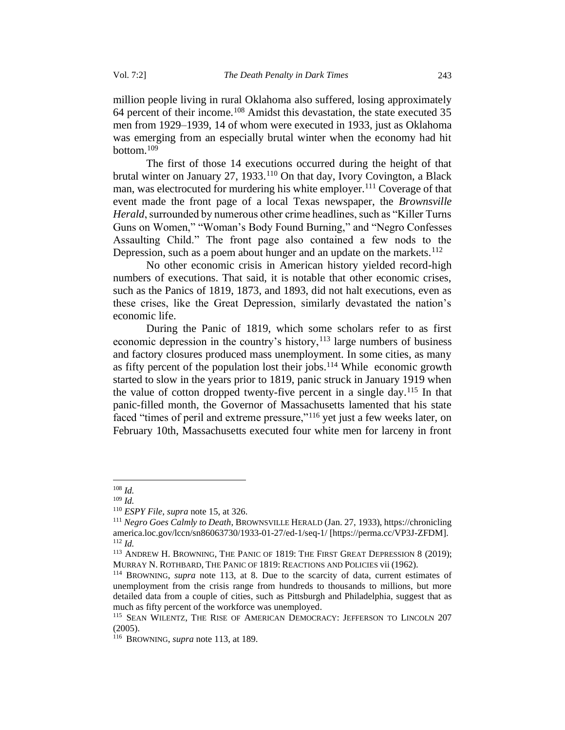million people living in rural Oklahoma also suffered, losing approximately 64 percent of their income.<sup>108</sup> Amidst this devastation, the state executed 35 men from 1929–1939, 14 of whom were executed in 1933, just as Oklahoma was emerging from an especially brutal winter when the economy had hit bottom.<sup>109</sup>

The first of those 14 executions occurred during the height of that brutal winter on January 27, 1933.<sup>110</sup> On that day, Ivory Covington, a Black man, was electrocuted for murdering his white employer.<sup>111</sup> Coverage of that event made the front page of a local Texas newspaper, the *Brownsville Herald*, surrounded by numerous other crime headlines, such as "Killer Turns Guns on Women," "Woman's Body Found Burning," and "Negro Confesses Assaulting Child." The front page also contained a few nods to the Depression, such as a poem about hunger and an update on the markets.<sup>112</sup>

No other economic crisis in American history yielded record-high numbers of executions. That said, it is notable that other economic crises, such as the Panics of 1819, 1873, and 1893, did not halt executions, even as these crises, like the Great Depression, similarly devastated the nation's economic life.

During the Panic of 1819, which some scholars refer to as first economic depression in the country's history, $113$  large numbers of business and factory closures produced mass unemployment. In some cities, as many as fifty percent of the population lost their jobs.<sup>114</sup> While economic growth started to slow in the years prior to 1819, panic struck in January 1919 when the value of cotton dropped twenty-five percent in a single day.<sup>115</sup> In that panic-filled month, the Governor of Massachusetts lamented that his state faced "times of peril and extreme pressure,"<sup>116</sup> yet just a few weeks later, on February 10th, Massachusetts executed four white men for larceny in front

<sup>108</sup> *Id.*

<sup>109</sup> *Id.*

<sup>110</sup> *ESPY File*, *supra* note 15, at 326.

<sup>111</sup> *Negro Goes Calmly to Death*, BROWNSVILLE HERALD (Jan. 27, 1933), https://chronicling america.loc.gov/lccn/sn86063730/1933-01-27/ed-1/seq-1/ [https://perma.cc/VP3J-ZFDM]. <sup>112</sup> *Id.*

<sup>&</sup>lt;sup>113</sup> ANDREW H. BROWNING, THE PANIC OF 1819: THE FIRST GREAT DEPRESSION 8 (2019); MURRAY N. ROTHBARD, THE PANIC OF 1819: REACTIONS AND POLICIES vii (1962).

<sup>114</sup> BROWNING, *supra* note 113, at 8. Due to the scarcity of data, current estimates of unemployment from the crisis range from hundreds to thousands to millions, but more detailed data from a couple of cities, such as Pittsburgh and Philadelphia, suggest that as much as fifty percent of the workforce was unemployed.

<sup>&</sup>lt;sup>115</sup> SEAN WILENTZ, THE RISE OF AMERICAN DEMOCRACY: JEFFERSON TO LINCOLN 207 (2005).

<sup>116</sup> BROWNING, *supra* note 113, at 189.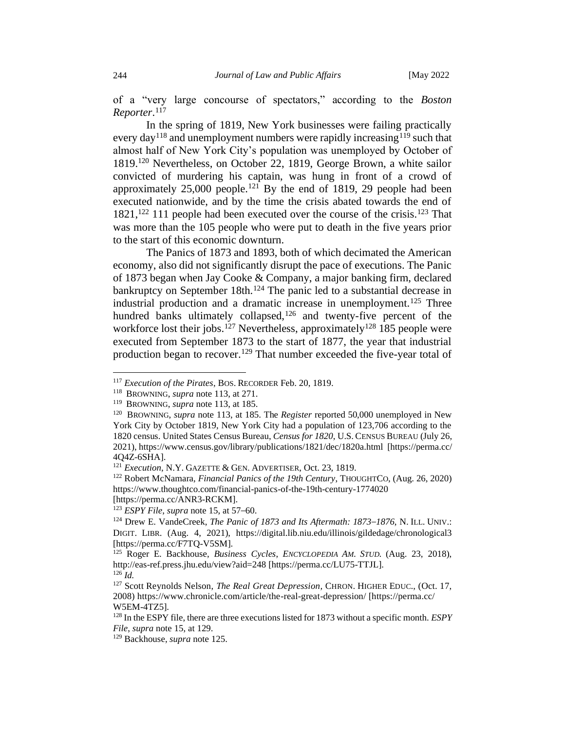of a "very large concourse of spectators," according to the *Boston Reporter*. 117

In the spring of 1819, New York businesses were failing practically every day<sup>118</sup> and unemployment numbers were rapidly increasing<sup>119</sup> such that almost half of New York City's population was unemployed by October of 1819.<sup>120</sup> Nevertheless, on October 22, 1819, George Brown, a white sailor convicted of murdering his captain, was hung in front of a crowd of approximately  $25,000$  people.<sup>121</sup> By the end of 1819, 29 people had been executed nationwide, and by the time the crisis abated towards the end of 1821,<sup>122</sup> 111 people had been executed over the course of the crisis.<sup>123</sup> That was more than the 105 people who were put to death in the five years prior to the start of this economic downturn.

The Panics of 1873 and 1893, both of which decimated the American economy, also did not significantly disrupt the pace of executions. The Panic of 1873 began when Jay Cooke & Company, a major banking firm, declared bankruptcy on September 18th.<sup>124</sup> The panic led to a substantial decrease in industrial production and a dramatic increase in unemployment.<sup>125</sup> Three hundred banks ultimately collapsed,<sup>126</sup> and twenty-five percent of the workforce lost their jobs.<sup>127</sup> Nevertheless, approximately<sup>128</sup> 185 people were executed from September 1873 to the start of 1877, the year that industrial production began to recover.<sup>129</sup> That number exceeded the five-year total of

<sup>117</sup> *Execution of the Pirates*, BOS. RECORDER Feb. 20, 1819.

<sup>118</sup> BROWNING, *supra* note 113, at 271.

<sup>119</sup> BROWNING, *supra* note 113, at 185.

<sup>&</sup>lt;sup>120</sup> BROWNING, *supra* note 113, at 185. The *Register* reported 50,000 unemployed in New York City by October 1819, New York City had a population of 123,706 according to the 1820 census. United States Census Bureau, *Census for 1820*, U.S. CENSUS BUREAU (July 26, 2021), https://www.census.gov/library/publications/1821/dec/1820a.html [https://perma.cc/ 4Q4Z-6SHA].

<sup>121</sup> *Execution*, N.Y. GAZETTE & GEN. ADVERTISER, Oct. 23, 1819.

<sup>122</sup> Robert McNamara, *Financial Panics of the 19th Century*, THOUGHTCO, (Aug. 26, 2020) https://www.thoughtco.com/financial-panics-of-the-19th-century-1774020

<sup>[</sup>https://perma.cc/ANR3-RCKM]. <sup>123</sup> *ESPY File*, *supra* note 15, at 57–60.

<sup>124</sup> Drew E. VandeCreek, *The Panic of 1873 and Its Aftermath: 1873–1876*, N. ILL. UNIV.: DIGIT. LIBR. (Aug. 4, 2021), https://digital.lib.niu.edu/illinois/gildedage/chronological3 [https://perma.cc/F7TQ-V5SM].

<sup>125</sup> Roger E. Backhouse, *Business Cycles*, *ENCYCLOPEDIA AM. STUD.* (Aug. 23, 2018), http://eas-ref.press.jhu.edu/view?aid=248 [https://perma.cc/LU75-TTJL].  $^{126}$ *Id.* 

<sup>127</sup> Scott Reynolds Nelson, *The Real Great Depression,* CHRON. HIGHER EDUC., (Oct. 17, 2008) https://www.chronicle.com/article/the-real-great-depression/ [https://perma.cc/ W5EM-4TZ5].

<sup>128</sup> In the ESPY file, there are three executions listed for 1873 without a specific month. *ESPY File*, *supra* note 15, at 129.

<sup>129</sup> Backhouse, *supra* note 125.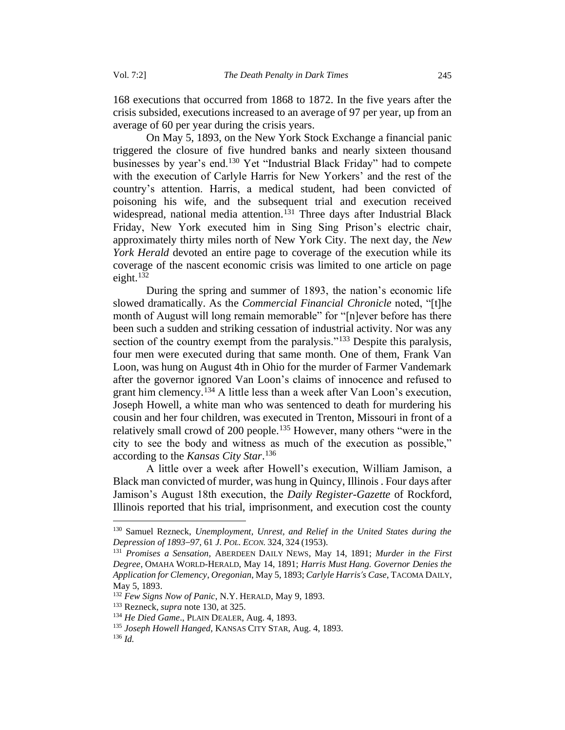168 executions that occurred from 1868 to 1872. In the five years after the crisis subsided, executions increased to an average of 97 per year, up from an average of 60 per year during the crisis years.

On May 5, 1893, on the New York Stock Exchange a financial panic triggered the closure of five hundred banks and nearly sixteen thousand businesses by year's end.<sup>130</sup> Yet "Industrial Black Friday" had to compete with the execution of Carlyle Harris for New Yorkers' and the rest of the country's attention. Harris, a medical student, had been convicted of poisoning his wife, and the subsequent trial and execution received widespread, national media attention.<sup>131</sup> Three days after Industrial Black Friday, New York executed him in Sing Sing Prison's electric chair, approximately thirty miles north of New York City. The next day, the *New York Herald* devoted an entire page to coverage of the execution while its coverage of the nascent economic crisis was limited to one article on page eight.<sup>132</sup>

During the spring and summer of 1893, the nation's economic life slowed dramatically. As the *Commercial Financial Chronicle* noted, "[t]he month of August will long remain memorable" for "[n]ever before has there been such a sudden and striking cessation of industrial activity. Nor was any section of the country exempt from the paralysis."<sup>133</sup> Despite this paralysis, four men were executed during that same month. One of them, Frank Van Loon, was hung on August 4th in Ohio for the murder of Farmer Vandemark after the governor ignored Van Loon's claims of innocence and refused to grant him clemency.<sup>134</sup> A little less than a week after Van Loon's execution, Joseph Howell, a white man who was sentenced to death for murdering his cousin and her four children, was executed in Trenton, Missouri in front of a relatively small crowd of 200 people.<sup>135</sup> However, many others "were in the city to see the body and witness as much of the execution as possible," according to the *Kansas City Star*. 136

A little over a week after Howell's execution, William Jamison, a Black man convicted of murder, was hung in Quincy, Illinois . Four days after Jamison's August 18th execution, the *Daily Register-Gazette* of Rockford, Illinois reported that his trial, imprisonment, and execution cost the county

<sup>130</sup> Samuel Rezneck, *Unemployment, Unrest, and Relief in the United States during the Depression of 1893–97*, 61 *J. POL. ECON.* 324, 324 (1953).

<sup>131</sup> *Promises a Sensation*, ABERDEEN DAILY NEWS, May 14, 1891; *Murder in the First Degree*, OMAHA WORLD-HERALD, May 14, 1891; *Harris Must Hang. Governor Denies the Application for Clemency*, *Oregonian*, May 5, 1893; *Carlyle Harris's Case*, TACOMA DAILY, May 5, 1893.

<sup>132</sup> *Few Signs Now of Panic*, N.Y. HERALD, May 9, 1893.

<sup>133</sup> Rezneck, *supra* note 130, at 325.

<sup>134</sup> *He Died Game*., PLAIN DEALER, Aug. 4, 1893.

<sup>135</sup> *Joseph Howell Hanged*, KANSAS CITY STAR, Aug. 4, 1893.

<sup>136</sup> *Id.*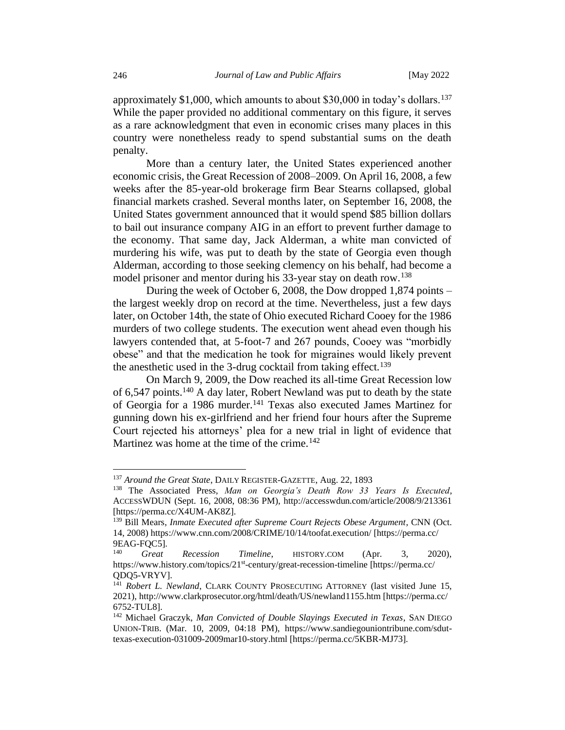approximately \$1,000, which amounts to about \$30,000 in today's dollars.<sup>137</sup> While the paper provided no additional commentary on this figure, it serves as a rare acknowledgment that even in economic crises many places in this country were nonetheless ready to spend substantial sums on the death penalty.

More than a century later, the United States experienced another economic crisis, the Great Recession of 2008–2009. On April 16, 2008, a few weeks after the 85-year-old brokerage firm Bear Stearns collapsed, global financial markets crashed. Several months later, on September 16, 2008, the United States government announced that it would spend \$85 billion dollars to bail out insurance company AIG in an effort to prevent further damage to the economy. That same day, Jack Alderman, a white man convicted of murdering his wife, was put to death by the state of Georgia even though Alderman, according to those seeking clemency on his behalf, had become a model prisoner and mentor during his 33-year stay on death row.<sup>138</sup>

During the week of October 6, 2008, the Dow dropped 1,874 points – the largest weekly drop on record at the time. Nevertheless, just a few days later, on October 14th, the state of Ohio executed Richard Cooey for the 1986 murders of two college students. The execution went ahead even though his lawyers contended that, at 5-foot-7 and 267 pounds, Cooey was "morbidly obese" and that the medication he took for migraines would likely prevent the anesthetic used in the 3-drug cocktail from taking effect.<sup>139</sup>

On March 9, 2009, the Dow reached its all-time Great Recession low of 6,547 points.<sup>140</sup> A day later, Robert Newland was put to death by the state of Georgia for a 1986 murder.<sup>141</sup> Texas also executed James Martinez for gunning down his ex-girlfriend and her friend four hours after the Supreme Court rejected his attorneys' plea for a new trial in light of evidence that Martinez was home at the time of the crime. $142$ 

<sup>137</sup> *Around the Great State*, DAILY REGISTER-GAZETTE, Aug. 22, 1893

<sup>138</sup> The Associated Press, *Man on Georgia's Death Row 33 Years Is Executed*, ACCESSWDUN (Sept. 16, 2008, 08:36 PM), http://accesswdun.com/article/2008/9/213361 [https://perma.cc/X4UM-AK8Z].

<sup>&</sup>lt;sup>139</sup> Bill Mears, *Inmate Executed after Supreme Court Rejects Obese Argument*, CNN (Oct. 14, 2008) https://www.cnn.com/2008/CRIME/10/14/toofat.execution/ [https://perma.cc/  $9EAG-FQC5$ ].<br><sup>140</sup> Great

<sup>140</sup> *Great Recession Timeline*, HISTORY.COM (Apr. 3, 2020), https://www.history.com/topics/21<sup>st</sup>-century/great-recession-timeline [https://perma.cc/ QDQ5-VRYV].

<sup>&</sup>lt;sup>141</sup> Robert L. Newland, CLARK COUNTY PROSECUTING ATTORNEY (last visited June 15, 2021), http://www.clarkprosecutor.org/html/death/US/newland1155.htm [https://perma.cc/ 6752-TUL8].

<sup>142</sup> Michael Graczyk, *Man Convicted of Double Slayings Executed in Texas*, SAN DIEGO UNION-TRIB. (Mar. 10, 2009, 04:18 PM), https://www.sandiegouniontribune.com/sduttexas-execution-031009-2009mar10-story.html [https://perma.cc/5KBR-MJ73].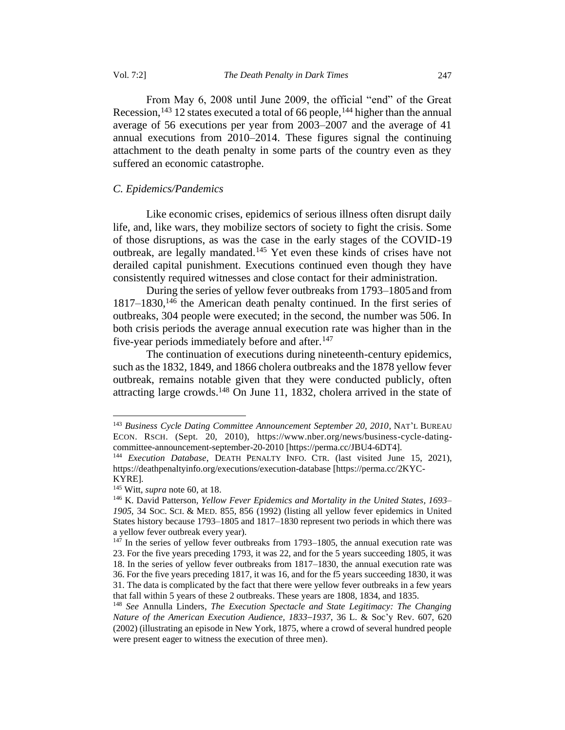From May 6, 2008 until June 2009, the official "end" of the Great Recession,  $143$  12 states executed a total of 66 people,  $144$  higher than the annual average of 56 executions per year from 2003–2007 and the average of 41 annual executions from 2010–2014. These figures signal the continuing attachment to the death penalty in some parts of the country even as they suffered an economic catastrophe.

#### <span id="page-20-0"></span>*C. Epidemics/Pandemics*

Like economic crises, epidemics of serious illness often disrupt daily life, and, like wars, they mobilize sectors of society to fight the crisis. Some of those disruptions, as was the case in the early stages of the COVID-19 outbreak, are legally mandated.<sup>145</sup> Yet even these kinds of crises have not derailed capital punishment. Executions continued even though they have consistently required witnesses and close contact for their administration.

During the series of yellow fever outbreaks from 1793–1805and from 1817–1830,<sup>146</sup> the American death penalty continued. In the first series of outbreaks, 304 people were executed; in the second, the number was 506. In both crisis periods the average annual execution rate was higher than in the five-year periods immediately before and after.<sup>147</sup>

The continuation of executions during nineteenth-century epidemics, such as the 1832, 1849, and 1866 cholera outbreaks and the 1878 yellow fever outbreak, remains notable given that they were conducted publicly, often attracting large crowds.<sup>148</sup> On June 11, 1832, cholera arrived in the state of

<sup>143</sup> *Business Cycle Dating Committee Announcement September 20, 2010*, NAT'L BUREAU ECON. RSCH. (Sept. 20, 2010), https://www.nber.org/news/business-cycle-datingcommittee-announcement-september-20-2010 [https://perma.cc/JBU4-6DT4].

<sup>144</sup> *Execution Database*, DEATH PENALTY INFO. CTR. (last visited June 15, 2021), https://deathpenaltyinfo.org/executions/execution-database [https://perma.cc/2KYC-KYRE].

<sup>145</sup> Witt, *supra* note 60, at 18.

<sup>146</sup> K. David Patterson, *Yellow Fever Epidemics and Mortality in the United States, 1693– 1905*, 34 SOC. SCI. & MED. 855, 856 (1992) (listing all yellow fever epidemics in United States history because 1793–1805 and 1817–1830 represent two periods in which there was a yellow fever outbreak every year).

 $147$  In the series of yellow fever outbreaks from 1793–1805, the annual execution rate was 23. For the five years preceding 1793, it was 22, and for the 5 years succeeding 1805, it was

<sup>18.</sup> In the series of yellow fever outbreaks from 1817–1830, the annual execution rate was 36. For the five years preceding 1817, it was 16, and for the f5 years succeeding 1830, it was 31. The data is complicated by the fact that there were yellow fever outbreaks in a few years that fall within 5 years of these 2 outbreaks. These years are 1808, 1834, and 1835.

<sup>148</sup> *See* Annulla Linders, *The Execution Spectacle and State Legitimacy: The Changing Nature of the American Execution Audience, 1833–1937*, 36 L. & Soc'y Rev. 607, 620 (2002) (illustrating an episode in New York, 1875, where a crowd of several hundred people were present eager to witness the execution of three men).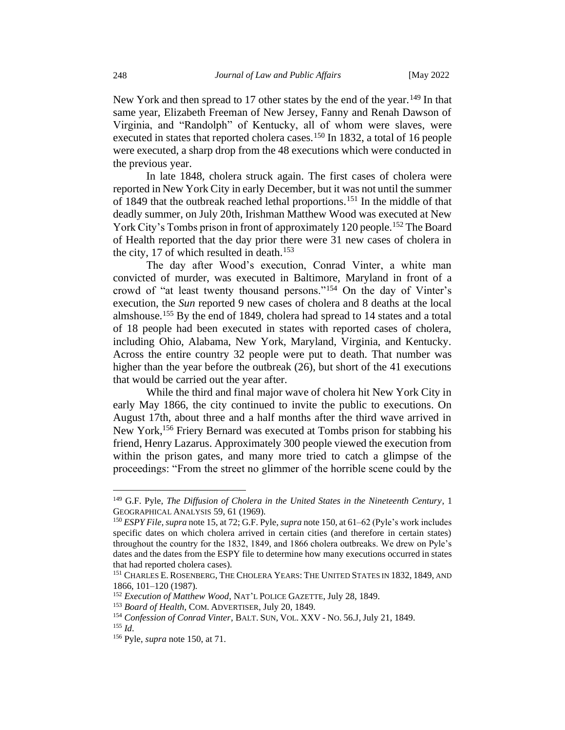New York and then spread to 17 other states by the end of the year.<sup>149</sup> In that same year, Elizabeth Freeman of New Jersey, Fanny and Renah Dawson of Virginia, and "Randolph" of Kentucky, all of whom were slaves, were executed in states that reported cholera cases.<sup>150</sup> In 1832, a total of 16 people were executed, a sharp drop from the 48 executions which were conducted in the previous year.

In late 1848, cholera struck again. The first cases of cholera were reported in New York City in early December, but it was not until the summer of 1849 that the outbreak reached lethal proportions.<sup>151</sup> In the middle of that deadly summer, on July 20th, Irishman Matthew Wood was executed at New York City's Tombs prison in front of approximately 120 people.<sup>152</sup> The Board of Health reported that the day prior there were 31 new cases of cholera in the city, 17 of which resulted in death.<sup>153</sup>

The day after Wood's execution, Conrad Vinter, a white man convicted of murder, was executed in Baltimore, Maryland in front of a crowd of "at least twenty thousand persons."<sup>154</sup> On the day of Vinter's execution, the *Sun* reported 9 new cases of cholera and 8 deaths at the local almshouse.<sup>155</sup> By the end of 1849, cholera had spread to 14 states and a total of 18 people had been executed in states with reported cases of cholera, including Ohio, Alabama, New York, Maryland, Virginia, and Kentucky. Across the entire country 32 people were put to death. That number was higher than the year before the outbreak (26), but short of the 41 executions that would be carried out the year after.

While the third and final major wave of cholera hit New York City in early May 1866, the city continued to invite the public to executions. On August 17th, about three and a half months after the third wave arrived in New York,<sup>156</sup> Friery Bernard was executed at Tombs prison for stabbing his friend, Henry Lazarus. Approximately 300 people viewed the execution from within the prison gates, and many more tried to catch a glimpse of the proceedings: "From the street no glimmer of the horrible scene could by the

<sup>149</sup> G.F. Pyle, *The Diffusion of Cholera in the United States in the Nineteenth Century*, 1 GEOGRAPHICAL ANALYSIS 59, 61 (1969).

<sup>150</sup> *ESPY File*, *supra* note 15, at 72; G.F. Pyle, *supra* note 150, at 61–62 (Pyle's work includes specific dates on which cholera arrived in certain cities (and therefore in certain states) throughout the country for the 1832, 1849, and 1866 cholera outbreaks. We drew on Pyle's dates and the dates from the ESPY file to determine how many executions occurred in states that had reported cholera cases).

<sup>151</sup> CHARLES E. ROSENBERG, THE CHOLERA YEARS: THE UNITED STATES IN 1832, 1849, AND 1866, 101–120 (1987).

<sup>152</sup> *Execution of Matthew Wood*, NAT'L POLICE GAZETTE, July 28, 1849.

<sup>153</sup> *Board of Health*, COM. ADVERTISER, July 20, 1849.

<sup>154</sup> *Confession of Conrad Vinter*, BALT.SUN, VOL. XXV - NO. 56.J, July 21, 1849. <sup>155</sup> *Id*.

<sup>156</sup> Pyle, *supra* note 150, at 71.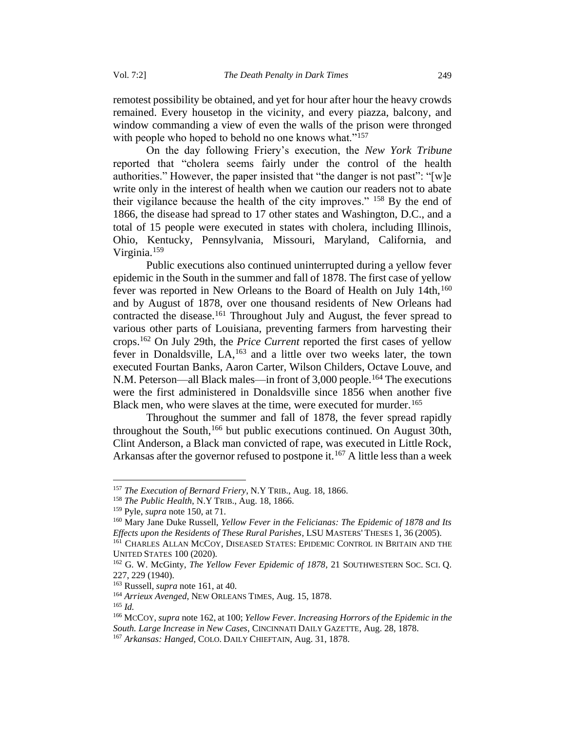remotest possibility be obtained, and yet for hour after hour the heavy crowds remained. Every housetop in the vicinity, and every piazza, balcony, and window commanding a view of even the walls of the prison were thronged with people who hoped to behold no one knows what."<sup>157</sup>

On the day following Friery's execution, the *New York Tribune*  reported that "cholera seems fairly under the control of the health authorities." However, the paper insisted that "the danger is not past": "[w]e write only in the interest of health when we caution our readers not to abate their vigilance because the health of the city improves." <sup>158</sup> By the end of 1866, the disease had spread to 17 other states and Washington, D.C., and a total of 15 people were executed in states with cholera, including Illinois, Ohio, Kentucky, Pennsylvania, Missouri, Maryland, California, and Virginia.<sup>159</sup>

Public executions also continued uninterrupted during a yellow fever epidemic in the South in the summer and fall of 1878. The first case of yellow fever was reported in New Orleans to the Board of Health on July 14th,  $160$ and by August of 1878, over one thousand residents of New Orleans had contracted the disease.<sup>161</sup> Throughout July and August, the fever spread to various other parts of Louisiana, preventing farmers from harvesting their crops.<sup>162</sup> On July 29th, the *Price Current* reported the first cases of yellow fever in Donaldsville,  $LA<sub>1</sub><sup>163</sup>$  and a little over two weeks later, the town executed Fourtan Banks, Aaron Carter, Wilson Childers, Octave Louve, and N.M. Peterson—all Black males—in front of 3,000 people.<sup>164</sup> The executions were the first administered in Donaldsville since 1856 when another five Black men, who were slaves at the time, were executed for murder.<sup>165</sup>

Throughout the summer and fall of 1878, the fever spread rapidly throughout the South,<sup>166</sup> but public executions continued. On August 30th, Clint Anderson, a Black man convicted of rape, was executed in Little Rock, Arkansas after the governor refused to postpone it.<sup>167</sup> A little less than a week

<sup>164</sup> *Arrieux Avenged*, NEW ORLEANS TIMES, Aug. 15, 1878.

<sup>157</sup> *The Execution of Bernard Friery*, N.Y TRIB., Aug. 18, 1866.

<sup>158</sup> *The Public Health*, N.Y TRIB., Aug. 18, 1866.

<sup>159</sup> Pyle, *supra* note 150, at 71.

<sup>160</sup> Mary Jane Duke Russell, *Yellow Fever in the Felicianas: The Epidemic of 1878 and Its Effects upon the Residents of These Rural Parishes*, LSU MASTERS' THESES 1, 36 (2005).

<sup>161</sup> CHARLES ALLAN MCCOY, DISEASED STATES: EPIDEMIC CONTROL IN BRITAIN AND THE UNITED STATES 100 (2020).

<sup>162</sup> G. W. McGinty, *The Yellow Fever Epidemic of 1878*, 21 SOUTHWESTERN SOC. SCI. Q. 227, 229 (1940).

<sup>163</sup> Russell, *supra* note 161, at 40.

<sup>165</sup> *Id.* 

<sup>166</sup> MCCOY, *supra* note 162, at 100; *Yellow Fever. Increasing Horrors of the Epidemic in the South. Large Increase in New Cases*, CINCINNATI DAILY GAZETTE, Aug. 28, 1878.

<sup>167</sup> *Arkansas: Hanged*, COLO. DAILY CHIEFTAIN, Aug. 31, 1878.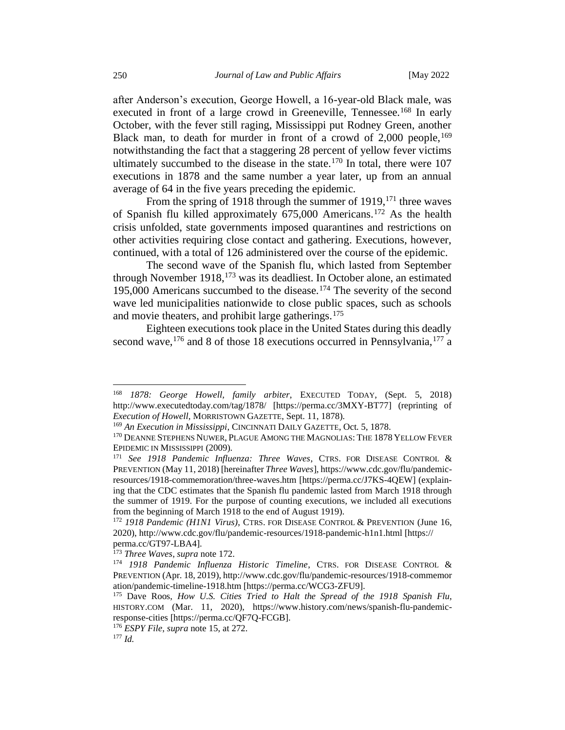after Anderson's execution, George Howell, a 16-year-old Black male, was executed in front of a large crowd in Greeneville, Tennessee.<sup>168</sup> In early October, with the fever still raging, Mississippi put Rodney Green, another Black man, to death for murder in front of a crowd of  $2,000$  people,  $169$ notwithstanding the fact that a staggering 28 percent of yellow fever victims ultimately succumbed to the disease in the state. $170$  In total, there were 107 executions in 1878 and the same number a year later, up from an annual average of 64 in the five years preceding the epidemic.

From the spring of 1918 through the summer of 1919,<sup>171</sup> three waves of Spanish flu killed approximately 675,000 Americans.<sup>172</sup> As the health crisis unfolded, state governments imposed quarantines and restrictions on other activities requiring close contact and gathering. Executions, however, continued, with a total of 126 administered over the course of the epidemic.

The second wave of the Spanish flu, which lasted from September through November 1918,<sup>173</sup> was its deadliest. In October alone, an estimated 195,000 Americans succumbed to the disease.<sup>174</sup> The severity of the second wave led municipalities nationwide to close public spaces, such as schools and movie theaters, and prohibit large gatherings.<sup>175</sup>

Eighteen executions took place in the United States during this deadly second wave,<sup>176</sup> and 8 of those 18 executions occurred in Pennsylvania,<sup>177</sup> a

<sup>168</sup> *1878: George Howell, family arbiter*, EXECUTED TODAY, (Sept. 5, 2018) http://www.executedtoday.com/tag/1878/ [https://perma.cc/3MXY-BT77] (reprinting of *Execution of Howell*, MORRISTOWN GAZETTE, Sept. 11, 1878).

<sup>169</sup> *An Execution in Mississippi*, CINCINNATI DAILY GAZETTE, Oct. 5, 1878.

<sup>&</sup>lt;sup>170</sup> DEANNE STEPHENS NUWER, PLAGUE AMONG THE MAGNOLIAS: THE 1878 YELLOW FEVER EPIDEMIC IN MISSISSIPPI (2009).

<sup>171</sup> *See 1918 Pandemic Influenza: Three Waves*, CTRS. FOR DISEASE CONTROL & PREVENTION (May 11, 2018) [hereinafter *Three Waves*], https://www.cdc.gov/flu/pandemicresources/1918-commemoration/three-waves.htm [https://perma.cc/J7KS-4QEW] (explaining that the CDC estimates that the Spanish flu pandemic lasted from March 1918 through the summer of 1919. For the purpose of counting executions, we included all executions from the beginning of March 1918 to the end of August 1919).

<sup>172</sup> *1918 Pandemic (H1N1 Virus)*, CTRS. FOR DISEASE CONTROL & PREVENTION (June 16, 2020), http://www.cdc.gov/flu/pandemic-resources/1918-pandemic-h1n1.html [https:// perma.cc/GT97-LBA4].

<sup>173</sup> *Three Waves*, *supra* note 172.

<sup>174</sup> *1918 Pandemic Influenza Historic Timeline*, CTRS. FOR DISEASE CONTROL & PREVENTION (Apr. 18, 2019), http://www.cdc.gov/flu/pandemic-resources/1918-commemor ation/pandemic-timeline-1918.htm [https://perma.cc/WCG3-ZFU9].

<sup>175</sup> Dave Roos, *How U.S. Cities Tried to Halt the Spread of the 1918 Spanish Flu*, HISTORY.COM (Mar. 11, 2020), https://www.history.com/news/spanish-flu-pandemicresponse-cities [https://perma.cc/QF7Q-FCGB].

<sup>176</sup> *ESPY File*, *supra* note 15, at 272.

<sup>177</sup> *Id.*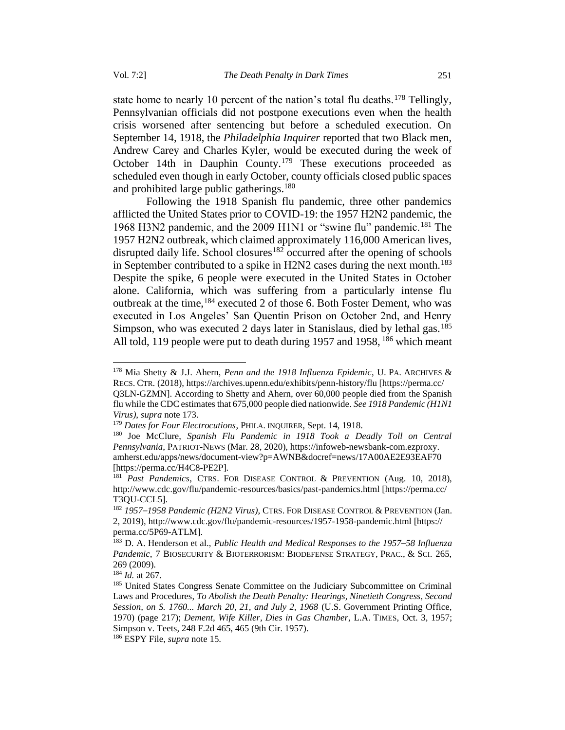state home to nearly 10 percent of the nation's total flu deaths.<sup>178</sup> Tellingly, Pennsylvanian officials did not postpone executions even when the health crisis worsened after sentencing but before a scheduled execution. On September 14, 1918, the *Philadelphia Inquirer* reported that two Black men, Andrew Carey and Charles Kyler, would be executed during the week of October 14th in Dauphin County.<sup>179</sup> These executions proceeded as scheduled even though in early October, county officials closed public spaces and prohibited large public gatherings.<sup>180</sup>

Following the 1918 Spanish flu pandemic, three other pandemics afflicted the United States prior to COVID-19: the 1957 H2N2 pandemic, the 1968 H3N2 pandemic, and the 2009 H1N1 or "swine flu" pandemic.<sup>181</sup> The 1957 H2N2 outbreak, which claimed approximately 116,000 American lives, disrupted daily life. School closures<sup>182</sup> occurred after the opening of schools in September contributed to a spike in H2N2 cases during the next month.<sup>183</sup> Despite the spike, 6 people were executed in the United States in October alone. California, which was suffering from a particularly intense flu outbreak at the time,<sup>184</sup> executed 2 of those 6. Both Foster Dement, who was executed in Los Angeles' San Quentin Prison on October 2nd, and Henry Simpson, who was executed 2 days later in Stanislaus, died by lethal gas.<sup>185</sup> All told, 119 people were put to death during 1957 and 1958,  $186$  which meant

<sup>178</sup> Mia Shetty & J.J. Ahern, *Penn and the 1918 Influenza Epidemic*, U. PA. ARCHIVES & RECS. CTR. (2018), https://archives.upenn.edu/exhibits/penn-history/flu [https://perma.cc/ Q3LN-GZMN]. According to Shetty and Ahern, over 60,000 people died from the Spanish flu while the CDC estimates that 675,000 people died nationwide. *See 1918 Pandemic (H1N1 Virus)*, *supra* note 173.

<sup>179</sup> *Dates for Four Electrocutions*, PHILA. INQUIRER, Sept. 14, 1918.

<sup>180</sup> Joe McClure, *Spanish Flu Pandemic in 1918 Took a Deadly Toll on Central Pennsylvania*, PATRIOT-NEWS (Mar. 28, 2020), https://infoweb-newsbank-com.ezproxy. amherst.edu/apps/news/document-view?p=AWNB&docref=news/17A00AE2E93EAF70 [https://perma.cc/H4C8-PE2P].

<sup>181</sup> *Past Pandemics*, CTRS. FOR DISEASE CONTROL & PREVENTION (Aug. 10, 2018), http://www.cdc.gov/flu/pandemic-resources/basics/past-pandemics.html [https://perma.cc/ T3QU-CCL5].

<sup>182</sup> *1957–1958 Pandemic (H2N2 Virus)*, CTRS.FOR DISEASE CONTROL & PREVENTION (Jan. 2, 2019), http://www.cdc.gov/flu/pandemic-resources/1957-1958-pandemic.html [https:// perma.cc/5P69-ATLM].

<sup>183</sup> D. A. Henderson et al., *Public Health and Medical Responses to the 1957–58 Influenza Pandemic*, 7 BIOSECURITY & BIOTERRORISM: BIODEFENSE STRATEGY, PRAC., & SCI. 265, 269 (2009).

<sup>184</sup> *Id.* at 267.

<sup>&</sup>lt;sup>185</sup> United States Congress Senate Committee on the Judiciary Subcommittee on Criminal Laws and Procedures, *To Abolish the Death Penalty: Hearings, Ninetieth Congress, Second Session, on S. 1760... March 20, 21, and July 2, 1968* (U.S. Government Printing Office, 1970) (page 217); *Dement, Wife Killer, Dies in Gas Chamber*, L.A. TIMES, Oct. 3, 1957; Simpson v. Teets, 248 F.2d 465, 465 (9th Cir. 1957).

<sup>186</sup> ESPY File, *supra* note 15.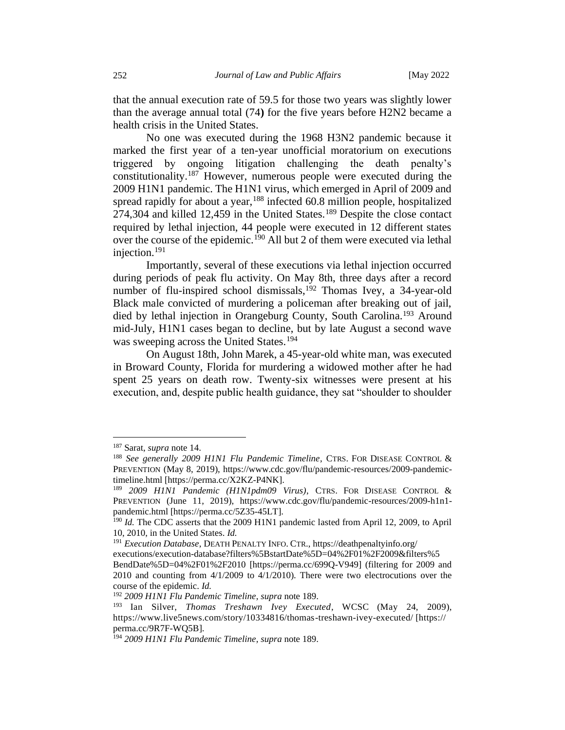that the annual execution rate of 59.5 for those two years was slightly lower than the average annual total (74**)** for the five years before H2N2 became a health crisis in the United States.

No one was executed during the 1968 H3N2 pandemic because it marked the first year of a ten-year unofficial moratorium on executions triggered by ongoing litigation challenging the death penalty's constitutionality.<sup>187</sup> However, numerous people were executed during the 2009 H1N1 pandemic. The H1N1 virus, which emerged in April of 2009 and spread rapidly for about a year,<sup>188</sup> infected 60.8 million people, hospitalized 274,304 and killed 12,459 in the United States.<sup>189</sup> Despite the close contact required by lethal injection, 44 people were executed in 12 different states over the course of the epidemic.<sup>190</sup> All but 2 of them were executed via lethal injection.<sup>191</sup>

Importantly, several of these executions via lethal injection occurred during periods of peak flu activity. On May 8th, three days after a record number of flu-inspired school dismissals,  $192$  Thomas Ivey, a 34-year-old Black male convicted of murdering a policeman after breaking out of jail, died by lethal injection in Orangeburg County, South Carolina.<sup>193</sup> Around mid-July, H1N1 cases began to decline, but by late August a second wave was sweeping across the United States.<sup>194</sup>

On August 18th, John Marek, a 45-year-old white man, was executed in Broward County, Florida for murdering a widowed mother after he had spent 25 years on death row. Twenty-six witnesses were present at his execution, and, despite public health guidance, they sat "shoulder to shoulder

<sup>187</sup> Sarat, *supra* note 14.

<sup>188</sup> *See generally 2009 H1N1 Flu Pandemic Timeline*, CTRS. FOR DISEASE CONTROL & PREVENTION (May 8, 2019), https://www.cdc.gov/flu/pandemic-resources/2009-pandemictimeline.html [https://perma.cc/X2KZ-P4NK].

<sup>189</sup> *2009 H1N1 Pandemic (H1N1pdm09 Virus)*, CTRS. FOR DISEASE CONTROL & PREVENTION (June 11, 2019), https://www.cdc.gov/flu/pandemic-resources/2009-h1n1 pandemic.html [https://perma.cc/5Z35-45LT].

<sup>&</sup>lt;sup>190</sup> *Id.* The CDC asserts that the 2009 H1N1 pandemic lasted from April 12, 2009, to April 10, 2010, in the United States. *Id.* 

<sup>191</sup> *Execution Database*, DEATH PENALTY INFO. CTR., https://deathpenaltyinfo.org/

executions/execution-database?filters%5BstartDate%5D=04%2F01%2F2009&filters%5 BendDate%5D=04%2F01%2F2010 [https://perma.cc/699Q-V949] (filtering for 2009 and 2010 and counting from 4/1/2009 to 4/1/2010). There were two electrocutions over the course of the epidemic. *Id.*

<sup>192</sup> *2009 H1N1 Flu Pandemic Timeline*, *supra* note 189.

<sup>193</sup> Ian Silver, *Thomas Treshawn Ivey Executed*, WCSC (May 24, 2009), https://www.live5news.com/story/10334816/thomas-treshawn-ivey-executed/ [https:// perma.cc/9R7F-WQ5B].

<sup>194</sup> *2009 H1N1 Flu Pandemic Timeline*, *supra* note 189.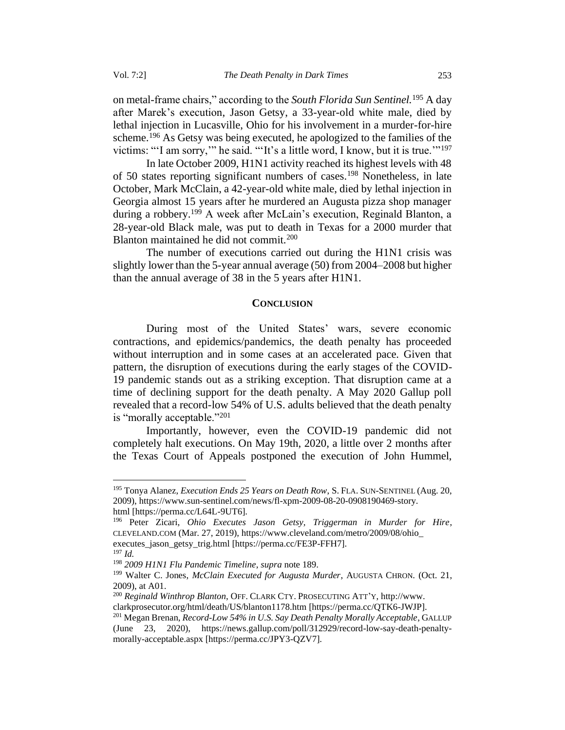on metal-frame chairs," according to the *South Florida Sun Sentinel.*<sup>195</sup> A day after Marek's execution, Jason Getsy, a 33-year-old white male, died by lethal injection in Lucasville, Ohio for his involvement in a murder-for-hire scheme.<sup>196</sup> As Getsy was being executed, he apologized to the families of the victims: "'I am sorry," he said. "'It's a little word, I know, but it is true."<sup>197</sup>

In late October 2009, H1N1 activity reached its highest levels with 48 of 50 states reporting significant numbers of cases.<sup>198</sup> Nonetheless, in late October, Mark McClain, a 42-year-old white male, died by lethal injection in Georgia almost 15 years after he murdered an Augusta pizza shop manager during a robbery.<sup>199</sup> A week after McLain's execution, Reginald Blanton, a 28-year-old Black male, was put to death in Texas for a 2000 murder that Blanton maintained he did not commit.<sup>200</sup>

The number of executions carried out during the H1N1 crisis was slightly lower than the 5-year annual average (50) from 2004–2008 but higher than the annual average of 38 in the 5 years after H1N1.

## **CONCLUSION**

<span id="page-26-0"></span>During most of the United States' wars, severe economic contractions, and epidemics/pandemics, the death penalty has proceeded without interruption and in some cases at an accelerated pace. Given that pattern, the disruption of executions during the early stages of the COVID-19 pandemic stands out as a striking exception. That disruption came at a time of declining support for the death penalty. A May 2020 Gallup poll revealed that a record-low 54% of U.S. adults believed that the death penalty is "morally acceptable."<sup>201</sup>

Importantly, however, even the COVID-19 pandemic did not completely halt executions. On May 19th, 2020, a little over 2 months after the Texas Court of Appeals postponed the execution of John Hummel,

<sup>195</sup> Tonya Alanez, *Execution Ends 25 Years on Death Row*, S.FLA.SUN-SENTINEL (Aug. 20, 2009), https://www.sun-sentinel.com/news/fl-xpm-2009-08-20-0908190469-story. html [https://perma.cc/L64L-9UT6].

<sup>196</sup> Peter Zicari, *Ohio Executes Jason Getsy, Triggerman in Murder for Hire*, CLEVELAND.COM (Mar. 27, 2019), https://www.cleveland.com/metro/2009/08/ohio\_ executes\_jason\_getsy\_trig.html [https://perma.cc/FE3P-FFH7].

 $^{197}$  *Id.* 

<sup>198</sup> *2009 H1N1 Flu Pandemic Timeline*, *supra* note 189.

<sup>199</sup> Walter C. Jones, *McClain Executed for Augusta Murder*, AUGUSTA CHRON. (Oct. 21, 2009), at A01.

<sup>200</sup> *Reginald Winthrop Blanton*, OFF. CLARK CTY.PROSECUTING ATT'Y, http://www. clarkprosecutor.org/html/death/US/blanton1178.htm [https://perma.cc/QTK6-JWJP].

<sup>201</sup> Megan Brenan, *Record-Low 54% in U.S. Say Death Penalty Morally Acceptable*, GALLUP (June 23, 2020), https://news.gallup.com/poll/312929/record-low-say-death-penaltymorally-acceptable.aspx [https://perma.cc/JPY3-QZV7].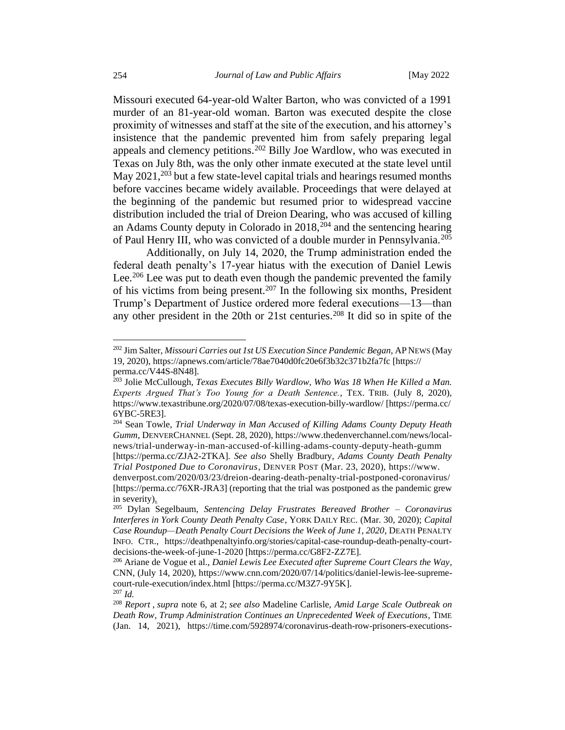Missouri executed 64-year-old Walter Barton, who was convicted of a 1991 murder of an 81-year-old woman. Barton was executed despite the close proximity of witnesses and staff at the site of the execution, and his attorney's insistence that the pandemic prevented him from safely preparing legal appeals and clemency petitions.<sup>202</sup> Billy Joe Wardlow, who was executed in Texas on July 8th, was the only other inmate executed at the state level until May  $2021$ ,  $203$  but a few state-level capital trials and hearings resumed months before vaccines became widely available. Proceedings that were delayed at the beginning of the pandemic but resumed prior to widespread vaccine distribution included the trial of Dreion Dearing, who was accused of killing an Adams County deputy in Colorado in  $2018$ ,  $204$  and the sentencing hearing of Paul Henry III, who was convicted of a double murder in Pennsylvania.<sup>205</sup>

Additionally, on July 14, 2020, the Trump administration ended the federal death penalty's 17-year hiatus with the execution of Daniel Lewis Lee.<sup>206</sup> Lee was put to death even though the pandemic prevented the family of his victims from being present.<sup>207</sup> In the following six months, President Trump's Department of Justice ordered more federal executions—13—than any other president in the 20th or 21st centuries.<sup>208</sup> It did so in spite of the

<sup>202</sup> Jim Salter, *Missouri Carries out 1st US Execution Since Pandemic Began*, APNEWS (May 19, 2020), https://apnews.com/article/78ae7040d0fc20e6f3b32c371b2fa7fc [https:// perma.cc/V44S-8N48].

<sup>&</sup>lt;sup>203</sup> Jolie McCullough, *Texas Executes Billy Wardlow, Who Was 18 When He Killed a Man. Experts Argued That's Too Young for a Death Sentence.*, TEX. TRIB. (July 8, 2020), https://www.texastribune.org/2020/07/08/texas-execution-billy-wardlow/ [https://perma.cc/ 6YBC-5RE3].

<sup>204</sup> Sean Towle, *Trial Underway in Man Accused of Killing Adams County Deputy Heath Gumm*, DENVERCHANNEL (Sept. 28, 2020), https://www.thedenverchannel.com/news/localnews/trial-underway-in-man-accused-of-killing-adams-county-deputy-heath-gumm

<sup>[</sup>https://perma.cc/ZJA2-2TKA]. *See also* Shelly Bradbury, *Adams County Death Penalty Trial Postponed Due to Coronavirus*, DENVER POST (Mar. 23, 2020), https://www.

denverpost.com/2020/03/23/dreion-dearing-death-penalty-trial-postponed-coronavirus/ [https://perma.cc/76XR-JRA3] (reporting that the trial was postponed as the pandemic grew in severity).

<sup>205</sup> Dylan Segelbaum, *Sentencing Delay Frustrates Bereaved Brother – Coronavirus Interferes in York County Death Penalty Case*, YORK DAILY REC. (Mar. 30, 2020); *Capital Case Roundup—Death Penalty Court Decisions the Week of June 1, 2020*, DEATH PENALTY INFO. CTR., https://deathpenaltyinfo.org/stories/capital-case-roundup-death-penalty-courtdecisions-the-week-of-june-1-2020 [https://perma.cc/G8F2-ZZ7E].

<sup>206</sup> Ariane de Vogue et al., *Daniel Lewis Lee Executed after Supreme Court Clears the Way*, CNN, (July 14, 2020), https://www.cnn.com/2020/07/14/politics/daniel-lewis-lee-supremecourt-rule-execution/index.html [https://perma.cc/M3Z7-9Y5K]. <sup>207</sup> *Id.*

<sup>208</sup> *Report* , *supra* note 6, at 2; *see also* Madeline Carlisle, *Amid Large Scale Outbreak on Death Row, Trump Administration Continues an Unprecedented Week of Executions*, TIME (Jan. 14, 2021), https://time.com/5928974/coronavirus-death-row-prisoners-executions-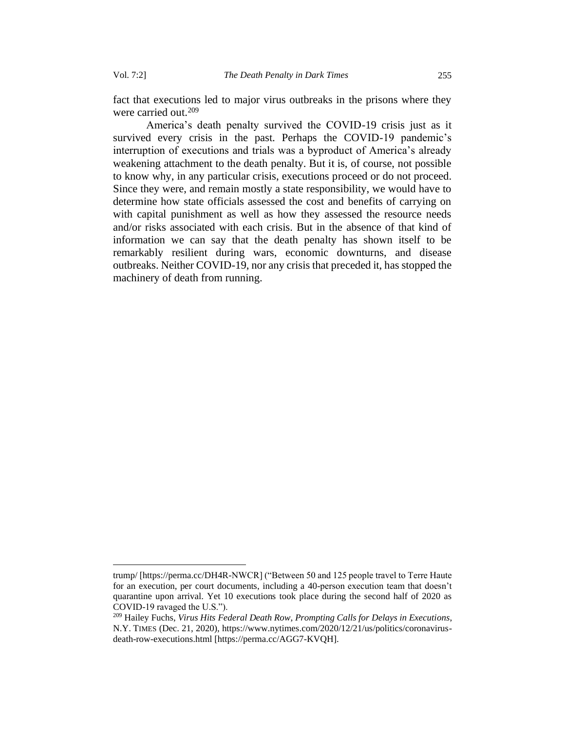fact that executions led to major virus outbreaks in the prisons where they were carried out.<sup>209</sup>

America's death penalty survived the COVID-19 crisis just as it survived every crisis in the past. Perhaps the COVID-19 pandemic's interruption of executions and trials was a byproduct of America's already weakening attachment to the death penalty. But it is, of course, not possible to know why, in any particular crisis, executions proceed or do not proceed. Since they were, and remain mostly a state responsibility, we would have to determine how state officials assessed the cost and benefits of carrying on with capital punishment as well as how they assessed the resource needs and/or risks associated with each crisis. But in the absence of that kind of information we can say that the death penalty has shown itself to be remarkably resilient during wars, economic downturns, and disease outbreaks. Neither COVID-19, nor any crisis that preceded it, has stopped the machinery of death from running.

trump/ [https://perma.cc/DH4R-NWCR] ("Between 50 and 125 people travel to Terre Haute for an execution, per court documents, including a 40-person execution team that doesn't quarantine upon arrival. Yet 10 executions took place during the second half of 2020 as COVID-19 ravaged the U.S.").

<sup>209</sup> Hailey Fuchs, *Virus Hits Federal Death Row, Prompting Calls for Delays in Executions*, N.Y. TIMES (Dec. 21, 2020), https://www.nytimes.com/2020/12/21/us/politics/coronavirusdeath-row-executions.html [https://perma.cc/AGG7-KVQH].